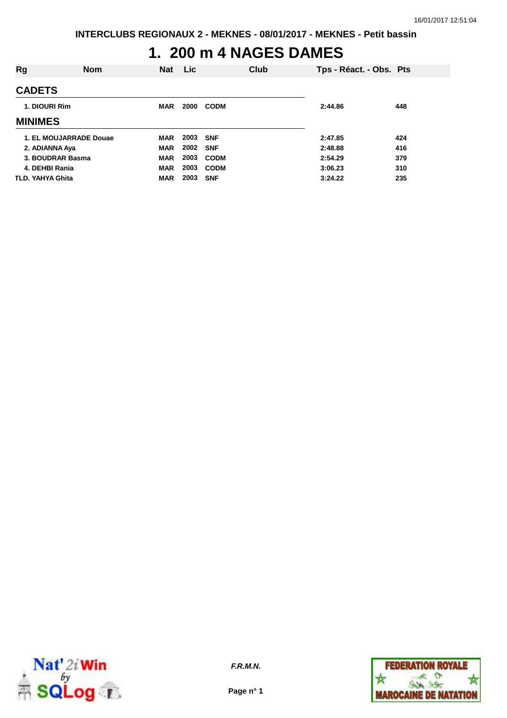# **1. 200 m 4 NAGES DAMES**

| Rg                     | <b>Nom</b> | <b>Nat</b> | <b>Lic</b> |             | Club | Tps - Réact. - Obs. Pts |     |
|------------------------|------------|------------|------------|-------------|------|-------------------------|-----|
| <b>CADETS</b>          |            |            |            |             |      |                         |     |
| 1. DIOURI Rim          |            | <b>MAR</b> | 2000       | <b>CODM</b> |      | 2:44.86                 | 448 |
| <b>MINIMES</b>         |            |            |            |             |      |                         |     |
| 1. EL MOUJARRADE Douae |            | <b>MAR</b> | 2003       | <b>SNF</b>  |      | 2:47.85                 | 424 |
| 2. ADIANNA Aya         |            | <b>MAR</b> | 2002 SNF   |             |      | 2:48.88                 | 416 |
| 3. BOUDRAR Basma       |            | <b>MAR</b> | 2003       | <b>CODM</b> |      | 2:54.29                 | 379 |
| 4. DEHBI Rania         |            | <b>MAR</b> | 2003       | <b>CODM</b> |      | 3:06.23                 | 310 |
| TLD. YAHYA Ghita       |            | <b>MAR</b> | 2003       | <b>SNF</b>  |      | 3:24.22                 | 235 |



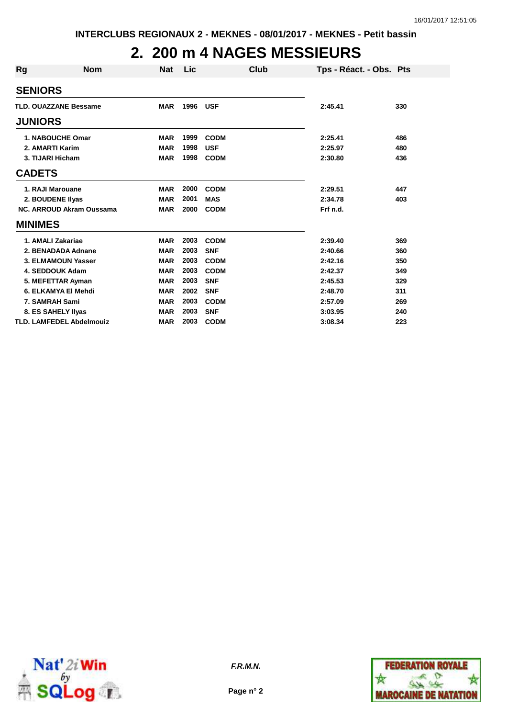## **2. 200 m 4 NAGES MESSIEURS**

| Rg                | <b>Nom</b>                      | <b>Nat</b> | Lic  | Club        | Tps - Réact. - Obs. Pts |     |
|-------------------|---------------------------------|------------|------|-------------|-------------------------|-----|
| <b>SENIORS</b>    |                                 |            |      |             |                         |     |
|                   | <b>TLD. OUAZZANE Bessame</b>    | <b>MAR</b> | 1996 | <b>USF</b>  | 2:45.41                 | 330 |
| <b>JUNIORS</b>    |                                 |            |      |             |                         |     |
|                   | <b>1. NABOUCHE Omar</b>         | <b>MAR</b> | 1999 | <b>CODM</b> | 2:25.41                 | 486 |
| 2. AMARTI Karim   |                                 | <b>MAR</b> | 1998 | <b>USF</b>  | 2:25.97                 | 480 |
| 3. TIJARI Hicham  |                                 | <b>MAR</b> | 1998 | <b>CODM</b> | 2:30.80                 | 436 |
| <b>CADETS</b>     |                                 |            |      |             |                         |     |
| 1. RAJI Marouane  |                                 | <b>MAR</b> | 2000 | <b>CODM</b> | 2:29.51                 | 447 |
| 2. BOUDENE Ilyas  |                                 | <b>MAR</b> | 2001 | <b>MAS</b>  | 2:34.78                 | 403 |
|                   | NC. ARROUD Akram Oussama        | <b>MAR</b> | 2000 | <b>CODM</b> | Frf n.d.                |     |
| <b>MINIMES</b>    |                                 |            |      |             |                         |     |
| 1. AMALI Zakariae |                                 | <b>MAR</b> | 2003 | <b>CODM</b> | 2:39.40                 | 369 |
|                   | 2. BENADADA Adnane              | <b>MAR</b> | 2003 | <b>SNF</b>  | 2:40.66                 | 360 |
|                   | 3. ELMAMOUN Yasser              | <b>MAR</b> | 2003 | <b>CODM</b> | 2:42.16                 | 350 |
|                   | 4. SEDDOUK Adam                 | <b>MAR</b> | 2003 | <b>CODM</b> | 2:42.37                 | 349 |
|                   | 5. MEFETTAR Ayman               | <b>MAR</b> | 2003 | <b>SNF</b>  | 2:45.53                 | 329 |
|                   | 6. ELKAMYA El Mehdi             | <b>MAR</b> | 2002 | <b>SNF</b>  | 2:48.70                 | 311 |
| 7. SAMRAH Sami    |                                 | <b>MAR</b> | 2003 | <b>CODM</b> | 2:57.09                 | 269 |
|                   | 8. ES SAHELY IIvas              | <b>MAR</b> | 2003 | <b>SNF</b>  | 3:03.95                 | 240 |
|                   | <b>TLD. LAMFEDEL Abdelmouiz</b> | <b>MAR</b> | 2003 | <b>CODM</b> | 3:08.34                 | 223 |



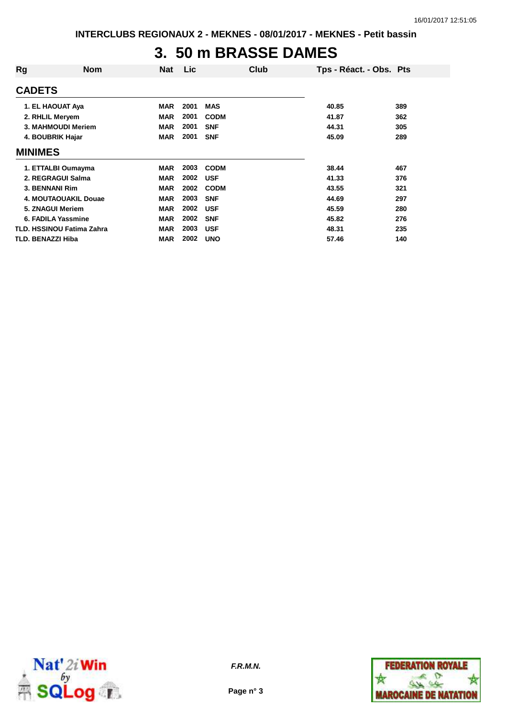### **3. 50 m BRASSE DAMES**

| Rg                       | <b>Nom</b>                       | <b>Nat</b> | Lic  | Club        | Tps - Réact. - Obs. Pts |     |
|--------------------------|----------------------------------|------------|------|-------------|-------------------------|-----|
| <b>CADETS</b>            |                                  |            |      |             |                         |     |
|                          | 1. EL HAOUAT Aya                 | <b>MAR</b> | 2001 | <b>MAS</b>  | 40.85                   | 389 |
|                          | 2. RHLIL Meryem                  | <b>MAR</b> | 2001 | <b>CODM</b> | 41.87                   | 362 |
|                          | 3. MAHMOUDI Meriem               | <b>MAR</b> | 2001 | <b>SNF</b>  | 44.31                   | 305 |
|                          | 4. BOUBRIK Hajar                 | <b>MAR</b> | 2001 | <b>SNF</b>  | 45.09                   | 289 |
| <b>MINIMES</b>           |                                  |            |      |             |                         |     |
|                          | 1. ETTALBI Oumayma               | <b>MAR</b> | 2003 | <b>CODM</b> | 38.44                   | 467 |
|                          | 2. REGRAGUI Salma                | <b>MAR</b> | 2002 | <b>USF</b>  | 41.33                   | 376 |
|                          | 3. BENNANI Rim                   | <b>MAR</b> | 2002 | <b>CODM</b> | 43.55                   | 321 |
|                          | 4. MOUTAOUAKIL Douae             | <b>MAR</b> | 2003 | <b>SNF</b>  | 44.69                   | 297 |
|                          | 5. ZNAGUI Meriem                 | <b>MAR</b> | 2002 | <b>USF</b>  | 45.59                   | 280 |
|                          | 6. FADILA Yassmine               | <b>MAR</b> | 2002 | <b>SNF</b>  | 45.82                   | 276 |
|                          | <b>TLD. HSSINOU Fatima Zahra</b> | <b>MAR</b> | 2003 | <b>USF</b>  | 48.31                   | 235 |
| <b>TLD. BENAZZI Hiba</b> |                                  | <b>MAR</b> | 2002 | <b>UNO</b>  | 57.46                   | 140 |



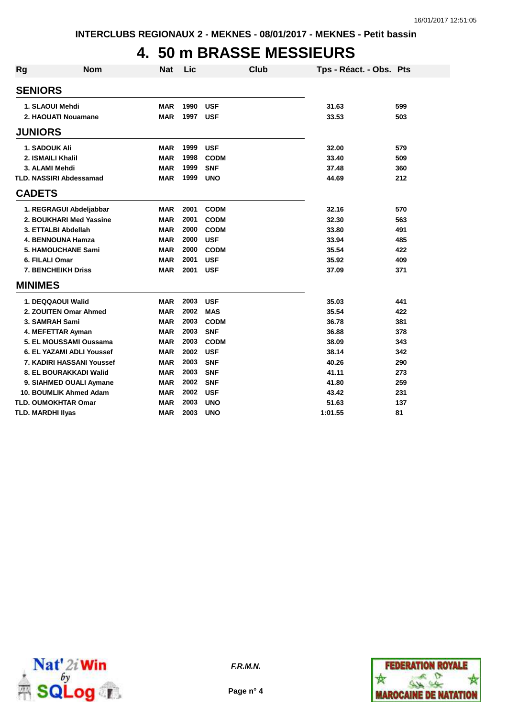## **4. 50 m BRASSE MESSIEURS**

| <b>Rg</b>                | <b>Nom</b>                     | <b>Nat</b> | Lic  | Club        | Tps - Réact. - Obs. Pts |     |
|--------------------------|--------------------------------|------------|------|-------------|-------------------------|-----|
| <b>SENIORS</b>           |                                |            |      |             |                         |     |
|                          | 1. SLAOUI Mehdi                | <b>MAR</b> | 1990 | <b>USF</b>  | 31.63                   | 599 |
|                          | 2. HAOUATI Nouamane            | <b>MAR</b> | 1997 | <b>USF</b>  | 33.53                   | 503 |
| <b>JUNIORS</b>           |                                |            |      |             |                         |     |
| <b>1. SADOUK Ali</b>     |                                | <b>MAR</b> | 1999 | <b>USF</b>  | 32.00                   | 579 |
|                          | 2. ISMAILI Khalil              | <b>MAR</b> | 1998 | <b>CODM</b> | 33.40                   | 509 |
|                          | 3. ALAMI Mehdi                 | <b>MAR</b> | 1999 | <b>SNF</b>  | 37.48                   | 360 |
|                          | <b>TLD. NASSIRI Abdessamad</b> | <b>MAR</b> | 1999 | <b>UNO</b>  | 44.69                   | 212 |
| <b>CADETS</b>            |                                |            |      |             |                         |     |
|                          | 1. REGRAGUI Abdeljabbar        | <b>MAR</b> | 2001 | <b>CODM</b> | 32.16                   | 570 |
|                          | 2. BOUKHARI Med Yassine        | <b>MAR</b> | 2001 | <b>CODM</b> | 32.30                   | 563 |
|                          | 3. ETTALBI Abdellah            | <b>MAR</b> | 2000 | <b>CODM</b> | 33.80                   | 491 |
|                          | 4. BENNOUNA Hamza              | <b>MAR</b> | 2000 | <b>USF</b>  | 33.94                   | 485 |
|                          | <b>5. HAMOUCHANE Sami</b>      | <b>MAR</b> | 2000 | <b>CODM</b> | 35.54                   | 422 |
| 6. FILALI Omar           |                                | <b>MAR</b> | 2001 | <b>USF</b>  | 35.92                   | 409 |
|                          | 7. BENCHEIKH Driss             | <b>MAR</b> | 2001 | <b>USF</b>  | 37.09                   | 371 |
| <b>MINIMES</b>           |                                |            |      |             |                         |     |
|                          | 1. DEQQAOUI Walid              | <b>MAR</b> | 2003 | <b>USF</b>  | 35.03                   | 441 |
|                          | 2. ZOUITEN Omar Ahmed          | <b>MAR</b> | 2002 | <b>MAS</b>  | 35.54                   | 422 |
|                          | 3. SAMRAH Sami                 | <b>MAR</b> | 2003 | <b>CODM</b> | 36.78                   | 381 |
|                          | 4. MEFETTAR Ayman              | <b>MAR</b> | 2003 | <b>SNF</b>  | 36.88                   | 378 |
|                          | 5. EL MOUSSAMI Oussama         | <b>MAR</b> | 2003 | <b>CODM</b> | 38.09                   | 343 |
|                          | 6. EL YAZAMI ADLI Youssef      | <b>MAR</b> | 2002 | <b>USF</b>  | 38.14                   | 342 |
|                          | 7. KADIRI HASSANI Youssef      | <b>MAR</b> | 2003 | <b>SNF</b>  | 40.26                   | 290 |
|                          | 8. EL BOURAKKADI Walid         | <b>MAR</b> | 2003 | <b>SNF</b>  | 41.11                   | 273 |
|                          | 9. SIAHMED OUALI Aymane        | <b>MAR</b> | 2002 | <b>SNF</b>  | 41.80                   | 259 |
|                          | 10. BOUMLIK Ahmed Adam         | <b>MAR</b> | 2002 | <b>USF</b>  | 43.42                   | 231 |
|                          | <b>TLD. OUMOKHTAR Omar</b>     | <b>MAR</b> | 2003 | <b>UNO</b>  | 51.63                   | 137 |
| <b>TLD. MARDHI IIyas</b> |                                | <b>MAR</b> | 2003 | <b>UNO</b>  | 1:01.55                 | 81  |



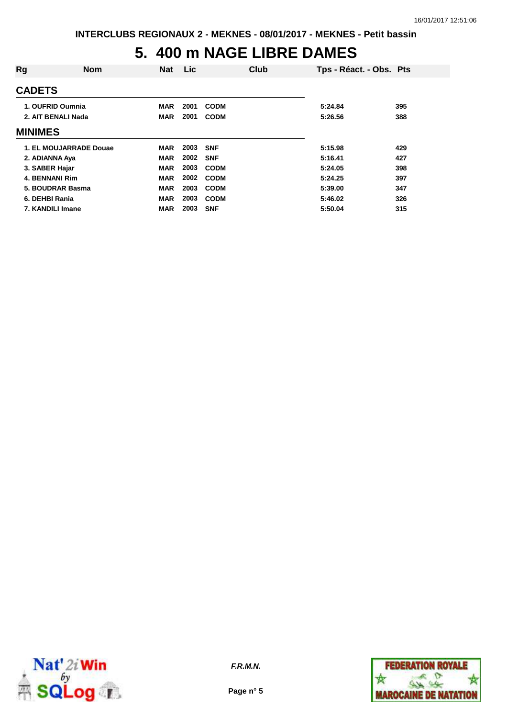#### **5. 400 m NAGE LIBRE DAMES**

| Rg                    | <b>Nom</b>             | <b>Nat</b> | Lic  | Club        | Tps - Réact. - Obs. Pts |     |
|-----------------------|------------------------|------------|------|-------------|-------------------------|-----|
| <b>CADETS</b>         |                        |            |      |             |                         |     |
|                       | 1. OUFRID Oumnia       | <b>MAR</b> | 2001 | <b>CODM</b> | 5:24.84                 | 395 |
|                       | 2. AIT BENALI Nada     | <b>MAR</b> | 2001 | <b>CODM</b> | 5:26.56                 | 388 |
| <b>MINIMES</b>        |                        |            |      |             |                         |     |
|                       | 1. EL MOUJARRADE Douae | <b>MAR</b> | 2003 | <b>SNF</b>  | 5:15.98                 | 429 |
| 2. ADIANNA Aya        |                        | <b>MAR</b> | 2002 | <b>SNF</b>  | 5:16.41                 | 427 |
| 3. SABER Hajar        |                        | <b>MAR</b> | 2003 | <b>CODM</b> | 5:24.05                 | 398 |
| <b>4. BENNANI Rim</b> |                        | <b>MAR</b> | 2002 | <b>CODM</b> | 5:24.25                 | 397 |
|                       | 5. BOUDRAR Basma       | <b>MAR</b> | 2003 | <b>CODM</b> | 5:39.00                 | 347 |
| 6. DEHBI Rania        |                        | <b>MAR</b> | 2003 | <b>CODM</b> | 5:46.02                 | 326 |
| 7. KANDILI Imane      |                        | <b>MAR</b> | 2003 | <b>SNF</b>  | 5:50.04                 | 315 |



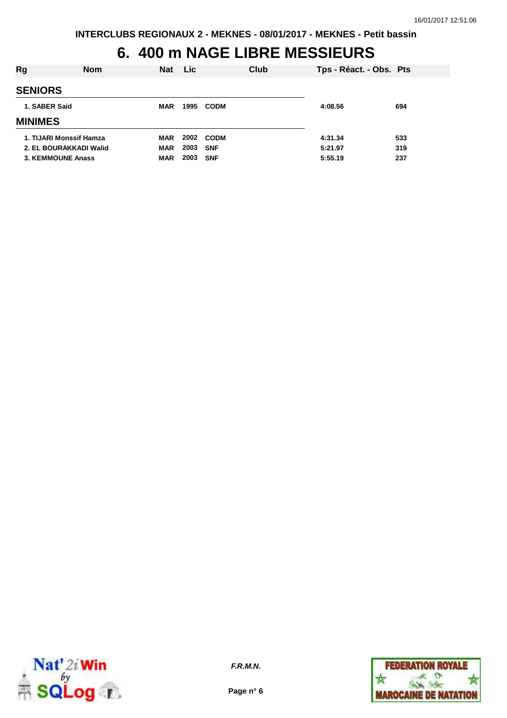### **6. 400 m NAGE LIBRE MESSIEURS**

| Rg                      | <b>Nom</b>             | <b>Nat</b> | <b>Lic</b> | Club        | Tps - Réact. - Obs. Pts |     |  |
|-------------------------|------------------------|------------|------------|-------------|-------------------------|-----|--|
| <b>SENIORS</b>          |                        |            |            |             |                         |     |  |
| 1. SABER Said           |                        | <b>MAR</b> | 1995       | <b>CODM</b> | 4:08.56                 | 694 |  |
| <b>MINIMES</b>          |                        |            |            |             |                         |     |  |
| 1. TIJARI Monssif Hamza |                        | <b>MAR</b> | 2002       | <b>CODM</b> | 4:31.34                 | 533 |  |
|                         | 2. EL BOURAKKADI Walid | <b>MAR</b> | 2003       | <b>SNF</b>  | 5:21.97                 | 319 |  |
| 3. KEMMOUNE Anass       |                        | <b>MAR</b> | 2003       | <b>SNF</b>  | 5:55.19                 | 237 |  |
|                         |                        |            |            |             |                         |     |  |



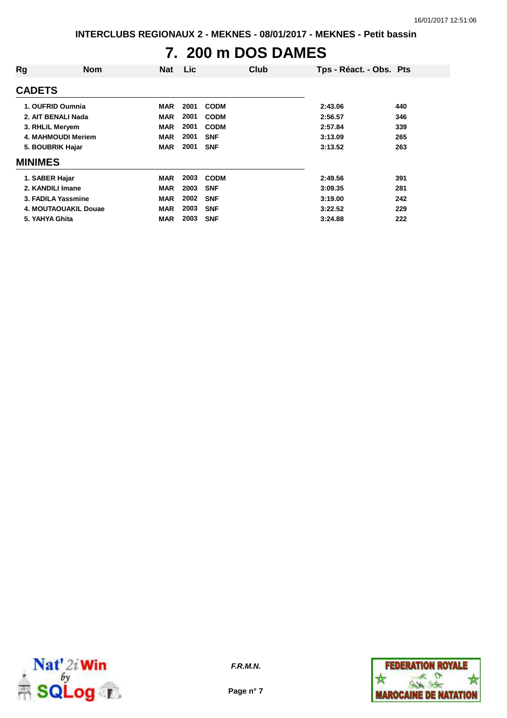# **7. 200 m DOS DAMES**

| Rg              | <b>Nom</b>           | <b>Nat</b> | Lic  | Club        | Tps - Réact. - Obs. Pts |     |
|-----------------|----------------------|------------|------|-------------|-------------------------|-----|
| <b>CADETS</b>   |                      |            |      |             |                         |     |
|                 | 1. OUFRID Oumnia     | <b>MAR</b> | 2001 | <b>CODM</b> | 2:43.06                 | 440 |
|                 | 2. AIT BENALI Nada   | <b>MAR</b> | 2001 | <b>CODM</b> | 2:56.57                 | 346 |
| 3. RHLIL Meryem |                      | <b>MAR</b> | 2001 | <b>CODM</b> | 2:57.84                 | 339 |
|                 | 4. MAHMOUDI Meriem   | <b>MAR</b> | 2001 | <b>SNF</b>  | 3:13.09                 | 265 |
|                 | 5. BOUBRIK Hajar     | <b>MAR</b> | 2001 | <b>SNF</b>  | 3:13.52                 | 263 |
| <b>MINIMES</b>  |                      |            |      |             |                         |     |
| 1. SABER Hajar  |                      | <b>MAR</b> | 2003 | <b>CODM</b> | 2:49.56                 | 391 |
|                 | 2. KANDILI Imane     | <b>MAR</b> | 2003 | <b>SNF</b>  | 3:09.35                 | 281 |
|                 | 3. FADILA Yassmine   | <b>MAR</b> | 2002 | <b>SNF</b>  | 3:19.00                 | 242 |
|                 | 4. MOUTAOUAKIL Douae | <b>MAR</b> | 2003 | <b>SNF</b>  | 3:22.52                 | 229 |
| 5. YAHYA Ghita  |                      | <b>MAR</b> | 2003 | <b>SNF</b>  | 3:24.88                 | 222 |



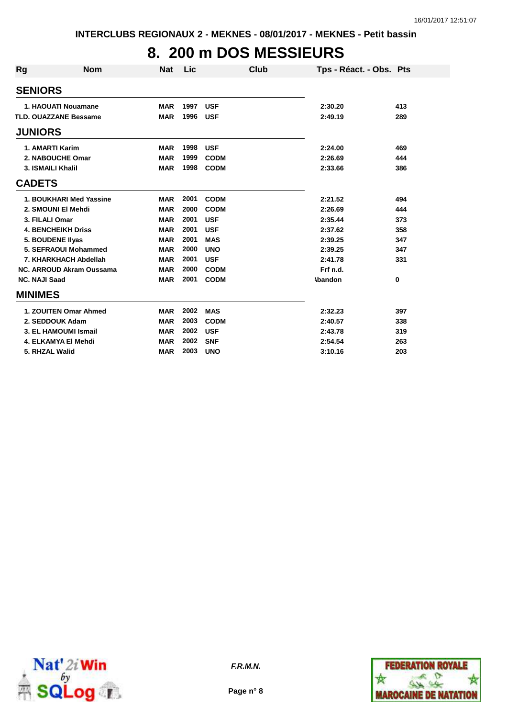# **8. 200 m DOS MESSIEURS**

| <b>Rg</b>            | <b>Nom</b>                   | <b>Nat</b> | Lic  |             | <b>Club</b> | Tps - Réact. - Obs. Pts |     |
|----------------------|------------------------------|------------|------|-------------|-------------|-------------------------|-----|
| <b>SENIORS</b>       |                              |            |      |             |             |                         |     |
|                      | 1. HAOUATI Nouamane          | <b>MAR</b> | 1997 | <b>USF</b>  |             | 2:30.20                 | 413 |
|                      | <b>TLD. OUAZZANE Bessame</b> | <b>MAR</b> | 1996 | <b>USF</b>  |             | 2:49.19                 | 289 |
| <b>JUNIORS</b>       |                              |            |      |             |             |                         |     |
|                      | 1. AMARTI Karim              | <b>MAR</b> | 1998 | <b>USF</b>  |             | 2:24.00                 | 469 |
|                      | 2. NABOUCHE Omar             | <b>MAR</b> | 1999 | <b>CODM</b> |             | 2:26.69                 | 444 |
|                      | <b>3. ISMAILI Khalil</b>     | <b>MAR</b> | 1998 | <b>CODM</b> |             | 2:33.66                 | 386 |
| <b>CADETS</b>        |                              |            |      |             |             |                         |     |
|                      | 1. BOUKHARI Med Yassine      | <b>MAR</b> | 2001 | <b>CODM</b> |             | 2:21.52                 | 494 |
|                      | 2. SMOUNI EI Mehdi           | <b>MAR</b> | 2000 | <b>CODM</b> |             | 2:26.69                 | 444 |
|                      | 3. FILALI Omar               | <b>MAR</b> | 2001 | <b>USF</b>  |             | 2:35.44                 | 373 |
|                      | <b>4. BENCHEIKH Driss</b>    | <b>MAR</b> | 2001 | <b>USF</b>  |             | 2:37.62                 | 358 |
|                      | 5. BOUDENE Ilyas             | <b>MAR</b> | 2001 | <b>MAS</b>  |             | 2:39.25                 | 347 |
|                      | 5. SEFRAOUI Mohammed         | <b>MAR</b> | 2000 | <b>UNO</b>  |             | 2:39.25                 | 347 |
|                      | 7. KHARKHACH Abdellah        | <b>MAR</b> | 2001 | <b>USF</b>  |             | 2:41.78                 | 331 |
|                      | NC. ARROUD Akram Oussama     | <b>MAR</b> | 2000 | <b>CODM</b> |             | Frf n.d.                |     |
| <b>NC. NAJI Saad</b> |                              | <b>MAR</b> | 2001 | <b>CODM</b> |             | <b>\bandon</b>          | 0   |
| <b>MINIMES</b>       |                              |            |      |             |             |                         |     |
|                      | 1. ZOUITEN Omar Ahmed        | <b>MAR</b> | 2002 | <b>MAS</b>  |             | 2:32.23                 | 397 |
|                      | 2. SEDDOUK Adam              | <b>MAR</b> | 2003 | <b>CODM</b> |             | 2:40.57                 | 338 |
|                      | 3. EL HAMOUMI Ismail         | <b>MAR</b> | 2002 | <b>USF</b>  |             | 2:43.78                 | 319 |
|                      | 4. ELKAMYA El Mehdi          | <b>MAR</b> | 2002 | <b>SNF</b>  |             | 2:54.54                 | 263 |
|                      | 5. RHZAL Walid               | <b>MAR</b> | 2003 | <b>UNO</b>  |             | 3:10.16                 | 203 |



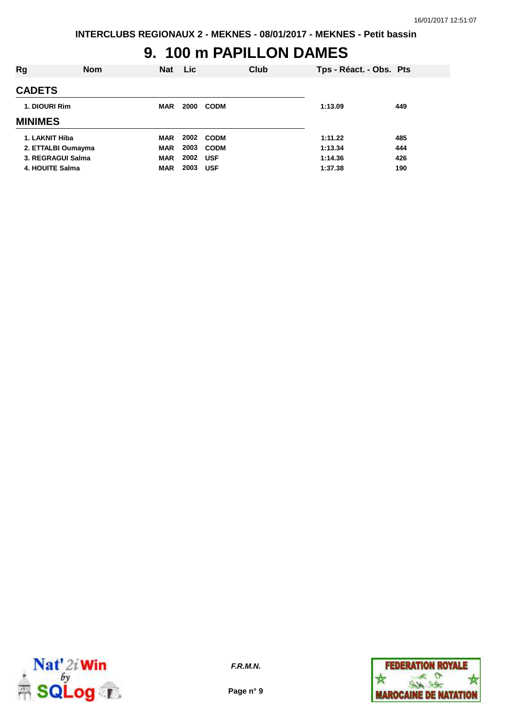#### **9. 100 m PAPILLON DAMES**

| Rg                 | <b>Nom</b> | <b>Nat</b> | <b>Lic</b> |             | Club | Tps - Réact. - Obs. Pts |     |
|--------------------|------------|------------|------------|-------------|------|-------------------------|-----|
| <b>CADETS</b>      |            |            |            |             |      |                         |     |
| 1. DIOURI Rim      |            | <b>MAR</b> | 2000       | <b>CODM</b> |      | 1:13.09                 | 449 |
| <b>MINIMES</b>     |            |            |            |             |      |                         |     |
| 1. LAKNIT Hiba     |            | <b>MAR</b> |            | 2002 CODM   |      | 1:11.22                 | 485 |
| 2. ETTALBI Oumayma |            | <b>MAR</b> | 2003       | <b>CODM</b> |      | 1:13.34                 | 444 |
| 3. REGRAGUI Salma  |            | <b>MAR</b> | 2002       | <b>USF</b>  |      | 1:14.36                 | 426 |
| 4. HOUITE Salma    |            | <b>MAR</b> | 2003       | <b>USF</b>  |      | 1:37.38                 | 190 |
|                    |            |            |            |             |      |                         |     |



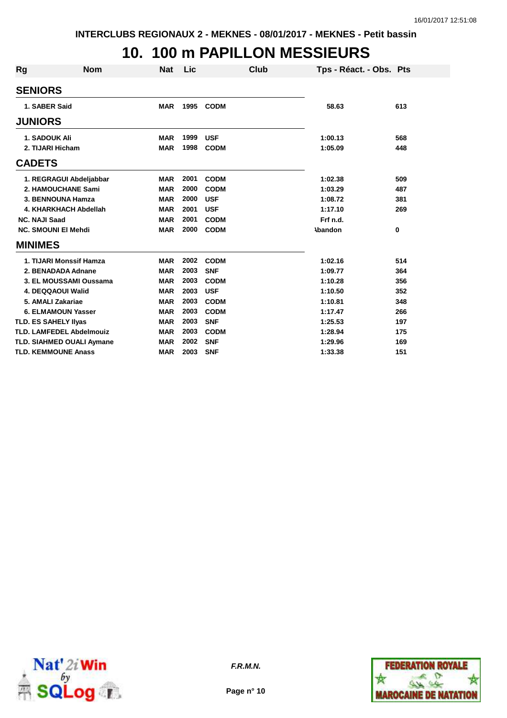### **10. 100 m PAPILLON MESSIEURS**

| <b>Rg</b>                       | <b>Nom</b> | <b>Nat</b> | Lic  | <b>Club</b> | Tps - Réact. - Obs. Pts |     |
|---------------------------------|------------|------------|------|-------------|-------------------------|-----|
| <b>SENIORS</b>                  |            |            |      |             |                         |     |
| 1. SABER Said                   |            | <b>MAR</b> | 1995 | <b>CODM</b> | 58.63                   | 613 |
| <b>JUNIORS</b>                  |            |            |      |             |                         |     |
| <b>1. SADOUK Ali</b>            |            | <b>MAR</b> | 1999 | <b>USF</b>  | 1:00.13                 | 568 |
| 2. TIJARI Hicham                |            | <b>MAR</b> | 1998 | <b>CODM</b> | 1:05.09                 | 448 |
| <b>CADETS</b>                   |            |            |      |             |                         |     |
| 1. REGRAGUI Abdeljabbar         |            | <b>MAR</b> | 2001 | <b>CODM</b> | 1:02.38                 | 509 |
| 2. HAMOUCHANE Sami              |            | <b>MAR</b> | 2000 | <b>CODM</b> | 1:03.29                 | 487 |
| 3. BENNOUNA Hamza               |            | <b>MAR</b> | 2000 | <b>USF</b>  | 1:08.72                 | 381 |
| 4. KHARKHACH Abdellah           |            | <b>MAR</b> | 2001 | <b>USF</b>  | 1:17.10                 | 269 |
| <b>NC. NAJI Saad</b>            |            | <b>MAR</b> | 2001 | <b>CODM</b> | Frf n.d.                |     |
| <b>NC. SMOUNI EI Mehdi</b>      |            | <b>MAR</b> | 2000 | <b>CODM</b> | <b>\bandon</b>          | 0   |
| <b>MINIMES</b>                  |            |            |      |             |                         |     |
| 1. TIJARI Monssif Hamza         |            | <b>MAR</b> | 2002 | <b>CODM</b> | 1:02.16                 | 514 |
| 2. BENADADA Adnane              |            | <b>MAR</b> | 2003 | <b>SNF</b>  | 1:09.77                 | 364 |
| 3. EL MOUSSAMI Oussama          |            | <b>MAR</b> | 2003 | <b>CODM</b> | 1:10.28                 | 356 |
| 4. DEQQAOUI Walid               |            | <b>MAR</b> | 2003 | <b>USF</b>  | 1:10.50                 | 352 |
| 5. AMALI Zakariae               |            | <b>MAR</b> | 2003 | <b>CODM</b> | 1:10.81                 | 348 |
| 6. ELMAMOUN Yasser              |            | <b>MAR</b> | 2003 | <b>CODM</b> | 1:17.47                 | 266 |
| <b>TLD. ES SAHELY Ilyas</b>     |            | <b>MAR</b> | 2003 | <b>SNF</b>  | 1:25.53                 | 197 |
| <b>TLD. LAMFEDEL Abdelmouiz</b> |            | <b>MAR</b> | 2003 | <b>CODM</b> | 1:28.94                 | 175 |
| TLD. SIAHMED OUALI Aymane       |            | <b>MAR</b> | 2002 | <b>SNF</b>  | 1:29.96                 | 169 |
| <b>TLD. KEMMOUNE Anass</b>      |            | <b>MAR</b> | 2003 | <b>SNF</b>  | 1:33.38                 | 151 |



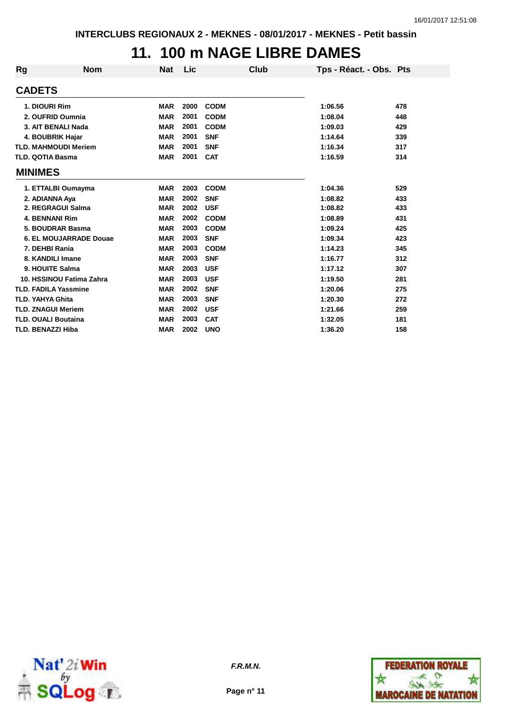### **11. 100 m NAGE LIBRE DAMES**

| Rg | <b>Nom</b>                  | <b>Nat</b> | Lic  | Club        | Tps - Réact. - Obs. Pts |     |
|----|-----------------------------|------------|------|-------------|-------------------------|-----|
|    | <b>CADETS</b>               |            |      |             |                         |     |
|    | 1. DIOURI Rim               | <b>MAR</b> | 2000 | <b>CODM</b> | 1:06.56                 | 478 |
|    | 2. OUFRID Oumnia            | <b>MAR</b> | 2001 | <b>CODM</b> | 1:08.04                 | 448 |
|    | 3. AIT BENALI Nada          | <b>MAR</b> | 2001 | <b>CODM</b> | 1:09.03                 | 429 |
|    | 4. BOUBRIK Hajar            | <b>MAR</b> | 2001 | <b>SNF</b>  | 1:14.64                 | 339 |
|    | <b>TLD. MAHMOUDI Meriem</b> | <b>MAR</b> | 2001 | <b>SNF</b>  | 1:16.34                 | 317 |
|    | <b>TLD. QOTIA Basma</b>     | <b>MAR</b> | 2001 | <b>CAT</b>  | 1:16.59                 | 314 |
|    | <b>MINIMES</b>              |            |      |             |                         |     |
|    | 1. ETTALBI Oumayma          | <b>MAR</b> | 2003 | <b>CODM</b> | 1:04.36                 | 529 |
|    | 2. ADIANNA Aya              | <b>MAR</b> | 2002 | <b>SNF</b>  | 1:08.82                 | 433 |
|    | 2. REGRAGUI Salma           | <b>MAR</b> | 2002 | <b>USF</b>  | 1:08.82                 | 433 |
|    | <b>4. BENNANI Rim</b>       | <b>MAR</b> | 2002 | <b>CODM</b> | 1:08.89                 | 431 |
|    | 5. BOUDRAR Basma            | <b>MAR</b> | 2003 | <b>CODM</b> | 1:09.24                 | 425 |
|    | 6. EL MOUJARRADE Douae      | <b>MAR</b> | 2003 | <b>SNF</b>  | 1:09.34                 | 423 |
|    | 7. DEHBI Rania              | <b>MAR</b> | 2003 | <b>CODM</b> | 1:14.23                 | 345 |
|    | 8. KANDILI Imane            | <b>MAR</b> | 2003 | <b>SNF</b>  | 1:16.77                 | 312 |
|    | 9. HOUITE Salma             | <b>MAR</b> | 2003 | <b>USF</b>  | 1:17.12                 | 307 |
|    | 10. HSSINOU Fatima Zahra    | <b>MAR</b> | 2003 | <b>USF</b>  | 1:19.50                 | 281 |
|    | <b>TLD. FADILA Yassmine</b> | <b>MAR</b> | 2002 | <b>SNF</b>  | 1:20.06                 | 275 |
|    | <b>TLD. YAHYA Ghita</b>     | <b>MAR</b> | 2003 | <b>SNF</b>  | 1:20.30                 | 272 |
|    | <b>TLD. ZNAGUI Meriem</b>   | <b>MAR</b> | 2002 | <b>USF</b>  | 1:21.66                 | 259 |
|    | <b>TLD. OUALI Boutaina</b>  | <b>MAR</b> | 2003 | <b>CAT</b>  | 1:32.05                 | 181 |
|    | <b>TLD. BENAZZI Hiba</b>    | <b>MAR</b> | 2002 | <b>UNO</b>  | 1:36.20                 | 158 |





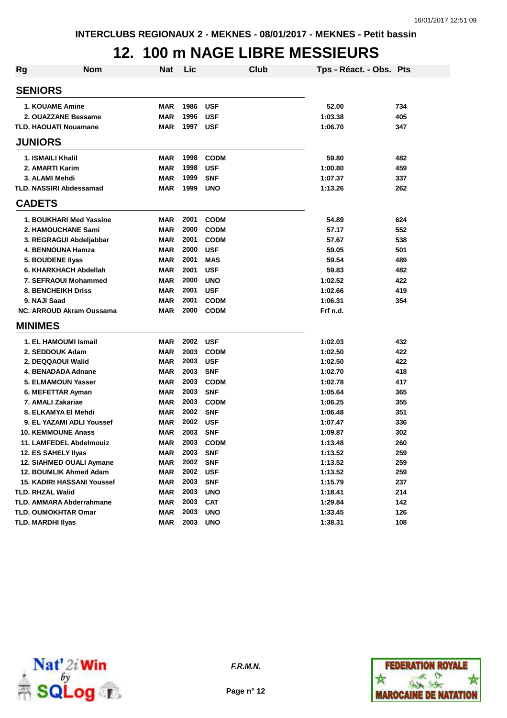#### **12. 100 m NAGE LIBRE MESSIEURS**

| <b>Rg</b> | <b>Nom</b>                        | <b>Nat</b> | Lic  |             | Club | Tps - Réact. - Obs. Pts |     |
|-----------|-----------------------------------|------------|------|-------------|------|-------------------------|-----|
|           | <b>SENIORS</b>                    |            |      |             |      |                         |     |
|           | <b>1. KOUAME Amine</b>            | <b>MAR</b> | 1986 | <b>USF</b>  |      | 52.00                   | 734 |
|           | 2. OUAZZANE Bessame               | <b>MAR</b> | 1996 | <b>USF</b>  |      | 1:03.38                 | 405 |
|           | <b>TLD. HAOUATI Nouamane</b>      | <b>MAR</b> | 1997 | <b>USF</b>  |      | 1:06.70                 | 347 |
|           | <b>JUNIORS</b>                    |            |      |             |      |                         |     |
|           | 1. ISMAILI Khalil                 | <b>MAR</b> | 1998 | <b>CODM</b> |      | 59.80                   | 482 |
|           | 2. AMARTI Karim                   | <b>MAR</b> | 1998 | <b>USF</b>  |      | 1:00.80                 | 459 |
|           | 3. ALAMI Mehdi                    | <b>MAR</b> | 1999 | <b>SNF</b>  |      | 1:07.37                 | 337 |
|           | <b>TLD. NASSIRI Abdessamad</b>    | <b>MAR</b> | 1999 | <b>UNO</b>  |      | 1:13.26                 | 262 |
|           | <b>CADETS</b>                     |            |      |             |      |                         |     |
|           | 1. BOUKHARI Med Yassine           | <b>MAR</b> | 2001 | <b>CODM</b> |      | 54.89                   | 624 |
|           | 2. HAMOUCHANE Sami                | <b>MAR</b> | 2000 | <b>CODM</b> |      | 57.17                   | 552 |
|           | 3. REGRAGUI Abdeljabbar           | <b>MAR</b> | 2001 | <b>CODM</b> |      | 57.67                   | 538 |
|           | 4. BENNOUNA Hamza                 | <b>MAR</b> | 2000 | <b>USF</b>  |      | 59.05                   | 501 |
|           | 5. BOUDENE IIyas                  | <b>MAR</b> | 2001 | <b>MAS</b>  |      | 59.54                   | 489 |
|           | 6. KHARKHACH Abdellah             | <b>MAR</b> | 2001 | <b>USF</b>  |      | 59.83                   | 482 |
|           | 7. SEFRAOUI Mohammed              | <b>MAR</b> | 2000 | <b>UNO</b>  |      | 1:02.52                 | 422 |
|           | <b>8. BENCHEIKH Driss</b>         | <b>MAR</b> | 2001 | <b>USF</b>  |      | 1:02.66                 | 419 |
|           | 9. NAJI Saad                      | <b>MAR</b> | 2001 | <b>CODM</b> |      | 1:06.31                 | 354 |
|           | NC. ARROUD Akram Oussama          | MAR        | 2000 | <b>CODM</b> |      | Frf n.d.                |     |
|           | <b>MINIMES</b>                    |            |      |             |      |                         |     |
|           | 1. EL HAMOUMI Ismail              | <b>MAR</b> | 2002 | <b>USF</b>  |      | 1:02.03                 | 432 |
|           | 2. SEDDOUK Adam                   | <b>MAR</b> | 2003 | <b>CODM</b> |      | 1:02.50                 | 422 |
|           | 2. DEQQAOUI Walid                 | <b>MAR</b> | 2003 | <b>USF</b>  |      | 1:02.50                 | 422 |
|           | 4. BENADADA Adnane                | <b>MAR</b> | 2003 | <b>SNF</b>  |      | 1:02.70                 | 418 |
|           | 5. ELMAMOUN Yasser                | <b>MAR</b> | 2003 | <b>CODM</b> |      | 1:02.78                 | 417 |
|           | 6. MEFETTAR Ayman                 | <b>MAR</b> | 2003 | <b>SNF</b>  |      | 1:05.64                 | 365 |
|           | 7. AMALI Zakariae                 | <b>MAR</b> | 2003 | <b>CODM</b> |      | 1:06.25                 | 355 |
|           | 8. ELKAMYA El Mehdi               | <b>MAR</b> | 2002 | <b>SNF</b>  |      | 1:06.48                 | 351 |
|           | 9. EL YAZAMI ADLI Youssef         | MAR        | 2002 | <b>USF</b>  |      | 1:07.47                 | 336 |
|           | <b>10. KEMMOUNE Anass</b>         | <b>MAR</b> | 2003 | <b>SNF</b>  |      | 1:09.87                 | 302 |
|           | 11. LAMFEDEL Abdelmouiz           | MAR        | 2003 | <b>CODM</b> |      | 1:13.48                 | 260 |
|           | 12. ES SAHELY Ilyas               | <b>MAR</b> | 2003 | <b>SNF</b>  |      | 1:13.52                 | 259 |
|           | 12. SIAHMED OUALI Aymane          | <b>MAR</b> | 2002 | <b>SNF</b>  |      | 1:13.52                 | 259 |
|           | 12. BOUMLIK Ahmed Adam            | <b>MAR</b> | 2002 | <b>USF</b>  |      | 1:13.52                 | 259 |
|           | <b>15. KADIRI HASSANI Youssef</b> | <b>MAR</b> | 2003 | <b>SNF</b>  |      | 1:15.79                 | 237 |
|           | <b>TLD. RHZAL Walid</b>           | <b>MAR</b> | 2003 | <b>UNO</b>  |      | 1:18.41                 | 214 |
|           | <b>TLD. AMMARA Abderrahmane</b>   | <b>MAR</b> | 2003 | <b>CAT</b>  |      | 1:29.84                 | 142 |
|           | <b>TLD. OUMOKHTAR Omar</b>        | <b>MAR</b> | 2003 | <b>UNO</b>  |      | 1:33.45                 | 126 |
|           | <b>TLD. MARDHI IIyas</b>          | <b>MAR</b> | 2003 | <b>UNO</b>  |      | 1:38.31                 | 108 |



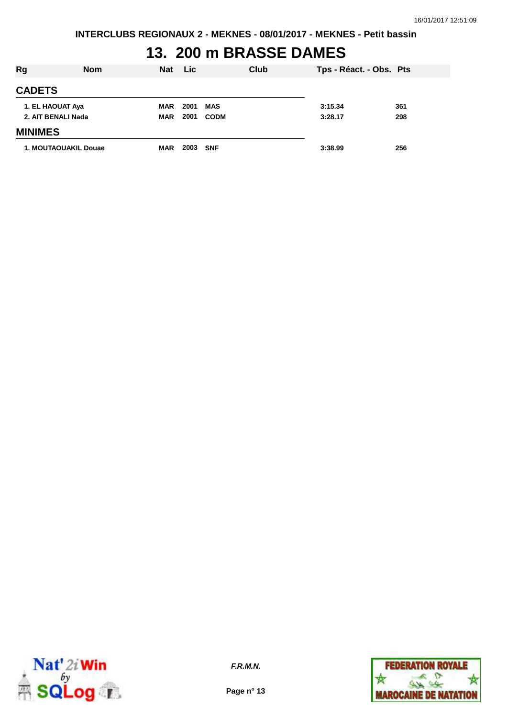# **13. 200 m BRASSE DAMES**

| Rg                   | <b>Nom</b> | <b>Nat</b> | <b>Lic</b> |             | Club | Tps - Réact. - Obs. Pts |     |
|----------------------|------------|------------|------------|-------------|------|-------------------------|-----|
| <b>CADETS</b>        |            |            |            |             |      |                         |     |
| 1. EL HAOUAT Aya     |            | <b>MAR</b> | 2001       | MAS         |      | 3:15.34                 | 361 |
| 2. AIT BENALI Nada   |            | <b>MAR</b> | 2001       | <b>CODM</b> |      | 3:28.17                 | 298 |
| <b>MINIMES</b>       |            |            |            |             |      |                         |     |
| 1. MOUTAOUAKIL Douae |            | <b>MAR</b> | 2003       | <b>SNF</b>  |      | 3:38.99                 | 256 |



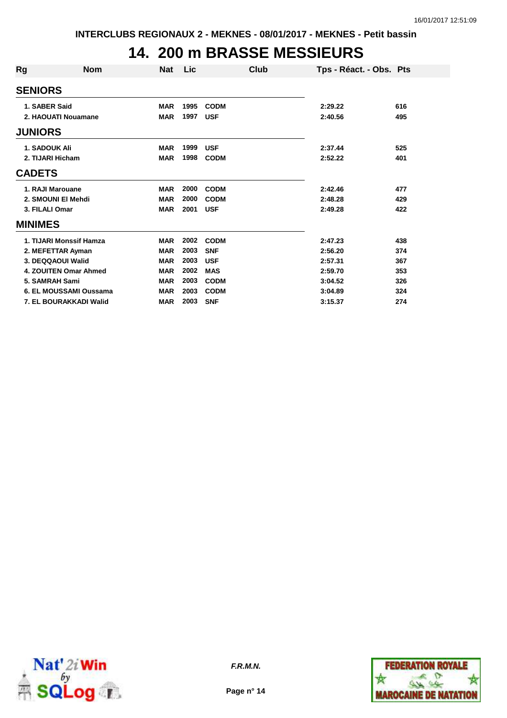### **14. 200 m BRASSE MESSIEURS**

| Rg             | <b>Nom</b>              | <b>Nat</b> | <b>Lic</b> | Club        | Tps - Réact. - Obs. Pts |     |
|----------------|-------------------------|------------|------------|-------------|-------------------------|-----|
| <b>SENIORS</b> |                         |            |            |             |                         |     |
|                | 1. SABER Said           | <b>MAR</b> | 1995       | <b>CODM</b> | 2:29.22                 | 616 |
|                | 2. HAOUATI Nouamane     | <b>MAR</b> | 1997       | <b>USF</b>  | 2:40.56                 | 495 |
| <b>JUNIORS</b> |                         |            |            |             |                         |     |
|                | <b>1. SADOUK Ali</b>    | <b>MAR</b> | 1999       | <b>USF</b>  | 2:37.44                 | 525 |
|                | 2. TIJARI Hicham        | <b>MAR</b> | 1998       | <b>CODM</b> | 2:52.22                 | 401 |
| <b>CADETS</b>  |                         |            |            |             |                         |     |
|                | 1. RAJI Marouane        | <b>MAR</b> | 2000       | <b>CODM</b> | 2:42.46                 | 477 |
|                | 2. SMOUNI EI Mehdi      | <b>MAR</b> | 2000       | <b>CODM</b> | 2:48.28                 | 429 |
|                | 3. FILALI Omar          | <b>MAR</b> | 2001       | <b>USF</b>  | 2:49.28                 | 422 |
| <b>MINIMES</b> |                         |            |            |             |                         |     |
|                | 1. TIJARI Monssif Hamza | <b>MAR</b> | 2002       | <b>CODM</b> | 2:47.23                 | 438 |
|                | 2. MEFETTAR Ayman       | <b>MAR</b> | 2003       | <b>SNF</b>  | 2:56.20                 | 374 |
|                | 3. DEQQAOUI Walid       | <b>MAR</b> | 2003       | <b>USF</b>  | 2:57.31                 | 367 |
|                | 4. ZOUITEN Omar Ahmed   | <b>MAR</b> | 2002       | <b>MAS</b>  | 2:59.70                 | 353 |
|                | 5. SAMRAH Sami          | <b>MAR</b> | 2003       | <b>CODM</b> | 3:04.52                 | 326 |
|                | 6. EL MOUSSAMI Oussama  | <b>MAR</b> | 2003       | <b>CODM</b> | 3:04.89                 | 324 |
|                | 7. EL BOURAKKADI Walid  | <b>MAR</b> | 2003       | <b>SNF</b>  | 3:15.37                 | 274 |



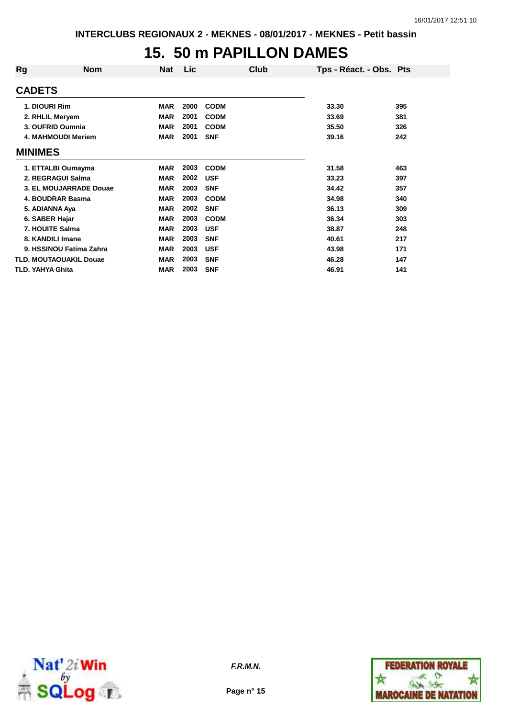#### **15. 50 m PAPILLON DAMES**

| Rg               | <b>Nom</b>                    | <b>Nat</b> | Lic  | Club        | Tps - Réact. - Obs. Pts |     |
|------------------|-------------------------------|------------|------|-------------|-------------------------|-----|
| <b>CADETS</b>    |                               |            |      |             |                         |     |
| 1. DIOURI Rim    |                               | <b>MAR</b> | 2000 | <b>CODM</b> | 33.30                   | 395 |
| 2. RHLIL Meryem  |                               | <b>MAR</b> | 2001 | <b>CODM</b> | 33.69                   | 381 |
|                  | 3. OUFRID Oumnia              | <b>MAR</b> | 2001 | <b>CODM</b> | 35.50                   | 326 |
|                  | 4. MAHMOUDI Meriem            | <b>MAR</b> | 2001 | <b>SNF</b>  | 39.16                   | 242 |
| <b>MINIMES</b>   |                               |            |      |             |                         |     |
|                  | 1. ETTALBI Oumayma            | <b>MAR</b> | 2003 | <b>CODM</b> | 31.58                   | 463 |
|                  | 2. REGRAGUI Salma             | <b>MAR</b> | 2002 | <b>USF</b>  | 33.23                   | 397 |
|                  | 3. EL MOUJARRADE Douae        | <b>MAR</b> | 2003 | <b>SNF</b>  | 34.42                   | 357 |
|                  | 4. BOUDRAR Basma              | <b>MAR</b> | 2003 | <b>CODM</b> | 34.98                   | 340 |
| 5. ADIANNA Aya   |                               | <b>MAR</b> | 2002 | <b>SNF</b>  | 36.13                   | 309 |
| 6. SABER Hajar   |                               | <b>MAR</b> | 2003 | <b>CODM</b> | 36.34                   | 303 |
| 7. HOUITE Salma  |                               | <b>MAR</b> | 2003 | <b>USF</b>  | 38.87                   | 248 |
| 8. KANDILI Imane |                               | <b>MAR</b> | 2003 | <b>SNF</b>  | 40.61                   | 217 |
|                  | 9. HSSINOU Fatima Zahra       | <b>MAR</b> | 2003 | <b>USF</b>  | 43.98                   | 171 |
|                  | <b>TLD. MOUTAOUAKIL Douae</b> | <b>MAR</b> | 2003 | <b>SNF</b>  | 46.28                   | 147 |
| TLD. YAHYA Ghita |                               | <b>MAR</b> | 2003 | <b>SNF</b>  | 46.91                   | 141 |



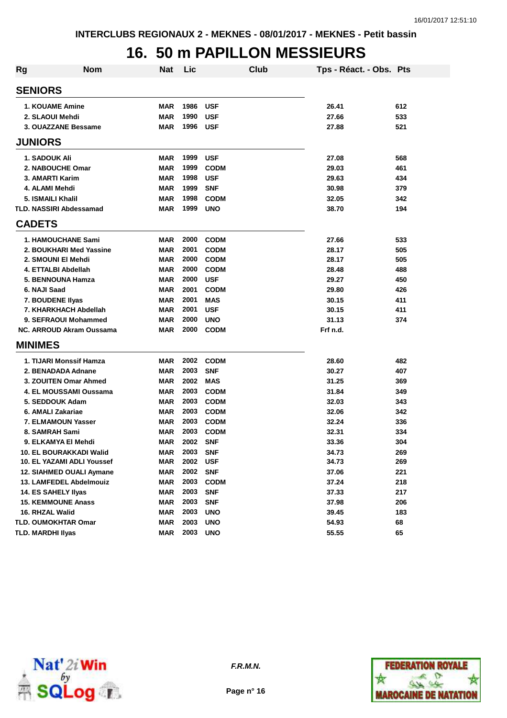### **16. 50 m PAPILLON MESSIEURS**

| Rg | <b>Nom</b>                     | <b>Nat</b> | Lic  |             | Club | Tps - Réact. - Obs. Pts |     |
|----|--------------------------------|------------|------|-------------|------|-------------------------|-----|
|    | <b>SENIORS</b>                 |            |      |             |      |                         |     |
|    | <b>1. KOUAME Amine</b>         | <b>MAR</b> | 1986 | <b>USF</b>  |      | 26.41                   | 612 |
|    | 2. SLAOUI Mehdi                | <b>MAR</b> | 1990 | <b>USF</b>  |      | 27.66                   | 533 |
|    | 3. OUAZZANE Bessame            | <b>MAR</b> | 1996 | <b>USF</b>  |      | 27.88                   | 521 |
|    | <b>JUNIORS</b>                 |            |      |             |      |                         |     |
|    | 1. SADOUK Ali                  | <b>MAR</b> | 1999 | <b>USF</b>  |      | 27.08                   | 568 |
|    | 2. NABOUCHE Omar               | <b>MAR</b> | 1999 | <b>CODM</b> |      | 29.03                   | 461 |
|    | 3. AMARTI Karim                | <b>MAR</b> | 1998 | <b>USF</b>  |      | 29.63                   | 434 |
|    | 4. ALAMI Mehdi                 | <b>MAR</b> | 1999 | <b>SNF</b>  |      | 30.98                   | 379 |
|    | 5. ISMAILI Khalil              | <b>MAR</b> | 1998 | <b>CODM</b> |      | 32.05                   | 342 |
|    | <b>TLD. NASSIRI Abdessamad</b> | <b>MAR</b> | 1999 | <b>UNO</b>  |      | 38.70                   | 194 |
|    | <b>CADETS</b>                  |            |      |             |      |                         |     |
|    | <b>1. HAMOUCHANE Sami</b>      | <b>MAR</b> | 2000 | <b>CODM</b> |      | 27.66                   | 533 |
|    | 2. BOUKHARI Med Yassine        | <b>MAR</b> | 2001 | <b>CODM</b> |      | 28.17                   | 505 |
|    | 2. SMOUNI EI Mehdi             | <b>MAR</b> | 2000 | <b>CODM</b> |      | 28.17                   | 505 |
|    | 4. ETTALBI Abdellah            | <b>MAR</b> | 2000 | <b>CODM</b> |      | 28.48                   | 488 |
|    | 5. BENNOUNA Hamza              | <b>MAR</b> | 2000 | <b>USF</b>  |      | 29.27                   | 450 |
|    | 6. NAJI Saad                   | <b>MAR</b> | 2001 | <b>CODM</b> |      | 29.80                   | 426 |
|    | 7. BOUDENE Ilyas               | <b>MAR</b> | 2001 | <b>MAS</b>  |      | 30.15                   | 411 |
|    | 7. KHARKHACH Abdellah          | <b>MAR</b> | 2001 | <b>USF</b>  |      | 30.15                   | 411 |
|    | 9. SEFRAOUI Mohammed           | <b>MAR</b> | 2000 | <b>UNO</b>  |      | 31.13                   | 374 |
|    | NC. ARROUD Akram Oussama       | <b>MAR</b> | 2000 | <b>CODM</b> |      | Frf n.d.                |     |
|    | <b>MINIMES</b>                 |            |      |             |      |                         |     |
|    | 1. TIJARI Monssif Hamza        | <b>MAR</b> | 2002 | <b>CODM</b> |      | 28.60                   | 482 |
|    | 2. BENADADA Adnane             | <b>MAR</b> | 2003 | <b>SNF</b>  |      | 30.27                   | 407 |
|    | 3. ZOUITEN Omar Ahmed          | <b>MAR</b> | 2002 | MAS         |      | 31.25                   | 369 |
|    | 4. EL MOUSSAMI Oussama         | <b>MAR</b> | 2003 | <b>CODM</b> |      | 31.84                   | 349 |
|    | 5. SEDDOUK Adam                | <b>MAR</b> | 2003 | <b>CODM</b> |      | 32.03                   | 343 |
|    | 6. AMALI Zakariae              | <b>MAR</b> | 2003 | <b>CODM</b> |      | 32.06                   | 342 |
|    | <b>7. ELMAMOUN Yasser</b>      | <b>MAR</b> | 2003 | <b>CODM</b> |      | 32.24                   | 336 |
|    | 8. SAMRAH Sami                 | <b>MAR</b> | 2003 | <b>CODM</b> |      | 32.31                   | 334 |
|    | 9. ELKAMYA EI Mehdi            | <b>MAR</b> | 2002 | <b>SNF</b>  |      | 33.36                   | 304 |
|    | <b>10. EL BOURAKKADI Walid</b> | <b>MAR</b> | 2003 | <b>SNF</b>  |      | 34.73                   | 269 |
|    | 10. EL YAZAMI ADLI Youssef     | <b>MAR</b> | 2002 | <b>USF</b>  |      | 34.73                   | 269 |
|    | 12. SIAHMED OUALI Aymane       | <b>MAR</b> | 2002 | <b>SNF</b>  |      | 37.06                   | 221 |
|    | 13. LAMFEDEL Abdelmouiz        | <b>MAR</b> | 2003 | <b>CODM</b> |      | 37.24                   | 218 |
|    | 14. ES SAHELY Ilyas            | <b>MAR</b> | 2003 | <b>SNF</b>  |      | 37.33                   | 217 |
|    | <b>15. KEMMOUNE Anass</b>      | <b>MAR</b> | 2003 | <b>SNF</b>  |      | 37.98                   | 206 |
|    | 16. RHZAL Walid                | <b>MAR</b> | 2003 | <b>UNO</b>  |      | 39.45                   | 183 |
|    | TLD. OUMOKHTAR Omar            | <b>MAR</b> | 2003 | <b>UNO</b>  |      | 54.93                   | 68  |
|    | <b>TLD. MARDHI Ilyas</b>       | <b>MAR</b> | 2003 | <b>UNO</b>  |      | 55.55                   | 65  |



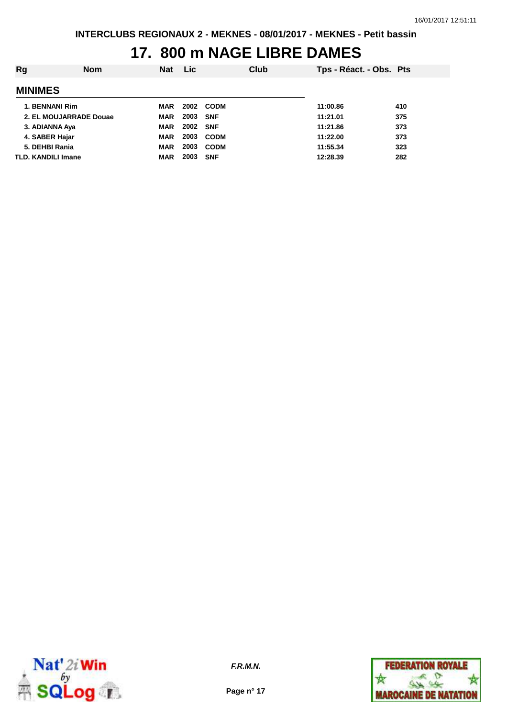#### **17. 800 m NAGE LIBRE DAMES**

| Rg                        | <b>Nom</b> | <b>Nat</b> | <b>Lic</b> |             | Club | Tps - Réact. - Obs. Pts |     |
|---------------------------|------------|------------|------------|-------------|------|-------------------------|-----|
| <b>MINIMES</b>            |            |            |            |             |      |                         |     |
| 1. BENNANI Rim            |            | MAR        |            | 2002 CODM   |      | 11:00.86                | 410 |
| 2. EL MOUJARRADE Douae    |            | MAR        | 2003 SNF   |             |      | 11:21.01                | 375 |
| 3. ADIANNA Aya            |            | <b>MAR</b> | 2002 SNF   |             |      | 11:21.86                | 373 |
| 4. SABER Hajar            |            | <b>MAR</b> | 2003       | <b>CODM</b> |      | 11:22.00                | 373 |
| 5. DEHBI Rania            |            | <b>MAR</b> | 2003       | <b>CODM</b> |      | 11:55.34                | 323 |
| <b>TLD. KANDILI Imane</b> |            | <b>MAR</b> | 2003       | <b>SNF</b>  |      | 12:28.39                | 282 |



**F.R.M.N.**

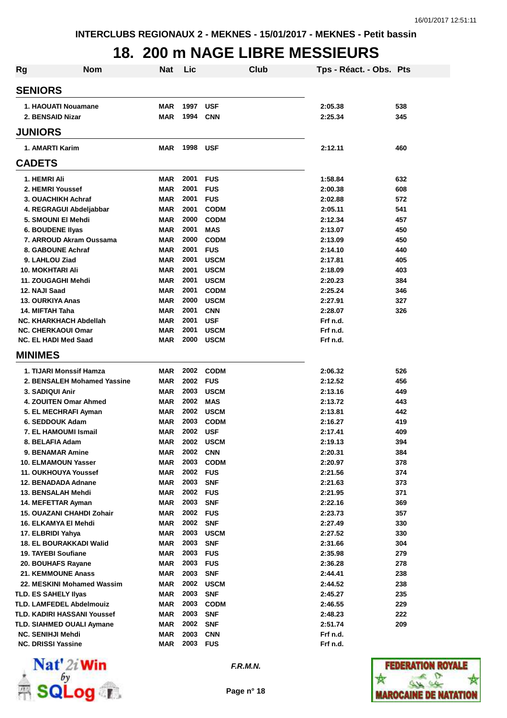#### **18. 200 m NAGE LIBRE MESSIEURS**

| <b>Rg</b> | <b>Nom</b>                                   | Nat        | Lic          | Club                      | Tps - Réact. - Obs. Pts |            |
|-----------|----------------------------------------------|------------|--------------|---------------------------|-------------------------|------------|
|           | <b>SENIORS</b>                               |            |              |                           |                         |            |
|           | 1. HAOUATI Nouamane                          | <b>MAR</b> | 1997         | <b>USF</b>                | 2:05.38                 | 538        |
|           | 2. BENSAID Nizar                             | <b>MAR</b> | 1994         | <b>CNN</b>                | 2:25.34                 | 345        |
|           | <b>JUNIORS</b>                               |            |              |                           |                         |            |
|           | 1. AMARTI Karim                              | <b>MAR</b> | 1998         | <b>USF</b>                | 2:12.11                 | 460        |
|           | <b>CADETS</b>                                |            |              |                           |                         |            |
|           | 1. HEMRI Ali                                 | <b>MAR</b> | 2001         | <b>FUS</b>                | 1:58.84                 | 632        |
|           | 2. HEMRI Youssef                             | <b>MAR</b> | 2001         | <b>FUS</b>                | 2:00.38                 | 608        |
|           | 3. OUACHIKH Achraf                           | <b>MAR</b> | 2001         | <b>FUS</b>                | 2:02.88                 | 572        |
|           | 4. REGRAGUI Abdeljabbar                      | <b>MAR</b> | 2001         | <b>CODM</b>               | 2:05.11                 | 541        |
|           | 5. SMOUNI EI Mehdi                           | <b>MAR</b> | 2000         | <b>CODM</b>               | 2:12.34                 | 457        |
|           | 6. BOUDENE IIyas                             | <b>MAR</b> | 2001         | <b>MAS</b>                | 2:13.07                 | 450        |
|           | 7. ARROUD Akram Oussama                      | <b>MAR</b> | 2000         | <b>CODM</b>               | 2:13.09                 | 450        |
|           | 8. GABOUNE Achraf                            | <b>MAR</b> | 2001         | <b>FUS</b>                | 2:14.10                 | 440        |
|           | 9. LAHLOU Ziad                               | <b>MAR</b> | 2001         | <b>USCM</b>               | 2:17.81                 | 405        |
|           | 10. MOKHTARI Ali                             | <b>MAR</b> | 2001         | <b>USCM</b>               | 2:18.09                 | 403        |
|           | 11. ZOUGAGHI Mehdi                           | <b>MAR</b> | 2001         | <b>USCM</b>               | 2:20.23                 | 384        |
|           | 12. NAJI Saad                                | <b>MAR</b> | 2001         | <b>CODM</b>               | 2:25.24                 | 346        |
|           | 13. OURKIYA Anas                             | <b>MAR</b> | 2000         | <b>USCM</b>               | 2:27.91                 | 327        |
|           | 14. MIFTAH Taha                              | <b>MAR</b> | 2001         | <b>CNN</b>                | 2:28.07                 | 326        |
|           | NC. KHARKHACH Abdellah                       | <b>MAR</b> | 2001         | <b>USF</b>                | Frf n.d.                |            |
|           | <b>NC. CHERKAOUI Omar</b>                    | <b>MAR</b> | 2001         | <b>USCM</b>               | Frf n.d.                |            |
|           | <b>NC. EL HADI Med Saad</b>                  | <b>MAR</b> | 2000         | <b>USCM</b>               | Frf n.d.                |            |
|           | <b>MINIMES</b>                               |            |              |                           |                         |            |
|           | 1. TIJARI Monssif Hamza                      | <b>MAR</b> | 2002         | <b>CODM</b>               | 2:06.32                 | 526        |
|           | 2. BENSALEH Mohamed Yassine                  | <b>MAR</b> | 2002         | <b>FUS</b>                | 2:12.52                 | 456        |
|           | 3. SADIQUI Anir                              | <b>MAR</b> | 2003         | <b>USCM</b>               | 2:13.16                 | 449        |
|           | 4. ZOUITEN Omar Ahmed                        | <b>MAR</b> | 2002         | <b>MAS</b>                | 2:13.72                 | 443        |
|           | 5. EL MECHRAFI Ayman                         | <b>MAR</b> | 2002         | <b>USCM</b>               | 2:13.81                 | 442        |
|           | 6. SEDDOUK Adam                              | <b>MAR</b> | 2003         | <b>CODM</b>               | 2:16.27                 | 419        |
|           | 7. EL HAMOUMI Ismail                         | <b>MAR</b> | 2002         | <b>USF</b>                | 2:17.41                 | 409        |
|           | 8. BELAFIA Adam                              | <b>MAR</b> | 2002         | <b>USCM</b>               | 2:19.13                 | 394        |
|           | 9. BENAMAR Amine                             | MAR        | 2002         | <b>CNN</b>                | 2:20.31                 | 384        |
|           | <b>10. ELMAMOUN Yasser</b>                   | <b>MAR</b> | 2003         | <b>CODM</b>               | 2:20.97                 | 378        |
|           | 11. OUKHOUYA Youssef                         | <b>MAR</b> | 2002 FUS     |                           | 2:21.56                 | 374        |
|           | 12. BENADADA Adnane                          | MAR        | 2003         | <b>SNF</b>                | 2:21.63                 | 373        |
|           | 13. BENSALAH Mehdi                           | <b>MAR</b> | 2002 FUS     |                           | 2:21.95                 | 371        |
|           | 14. MEFETTAR Ayman                           | MAR        | 2003         | <b>SNF</b>                | 2:22.16                 | 369        |
|           | <b>15. OUAZANI CHAHDI Zohair</b>             | MAR        | 2002 FUS     |                           | 2:23.73                 | 357        |
|           | 16. ELKAMYA El Mehdi                         | MAR        | 2002<br>2003 | <b>SNF</b>                | 2:27.49                 | 330        |
|           | 17. ELBRIDI Yahya<br>18. EL BOURAKKADI Walid | MAR        | 2003         | <b>USCM</b><br><b>SNF</b> | 2:27.52                 | 330        |
|           | <b>19. TAYEBI Soufiane</b>                   | MAR<br>MAR | 2003         | <b>FUS</b>                | 2:31.66<br>2:35.98      | 304<br>279 |
|           |                                              | MAR        | 2003         | <b>FUS</b>                | 2:36.28                 | 278        |
|           | 20. BOUHAFS Rayane<br>21. KEMMOUNE Anass     | MAR        | 2003         | <b>SNF</b>                | 2:44.41                 | 238        |
|           | 22. MESKINI Mohamed Wassim                   | MAR        | 2002         | <b>USCM</b>               | 2:44.52                 | 238        |
|           | <b>TLD. ES SAHELY Ilyas</b>                  | MAR        | 2003         | <b>SNF</b>                | 2:45.27                 | 235        |
|           | <b>TLD. LAMFEDEL Abdelmouiz</b>              | MAR        | 2003         | <b>CODM</b>               | 2:46.55                 | 229        |
|           | TLD. KADIRI HASSANI Youssef                  | MAR        | 2003         | <b>SNF</b>                | 2:48.23                 | 222        |
|           | TLD. SIAHMED OUALI Aymane                    | MAR        | 2002         | <b>SNF</b>                | 2:51.74                 | 209        |
|           | <b>NC. SENIHJI Mehdi</b>                     | MAR        | 2003         | <b>CNN</b>                | Frf n.d.                |            |
|           | <b>NC. DRISSI Yassine</b>                    | MAR        | 2003         | <b>FUS</b>                | Frf n.d.                |            |
|           |                                              |            |              |                           |                         |            |



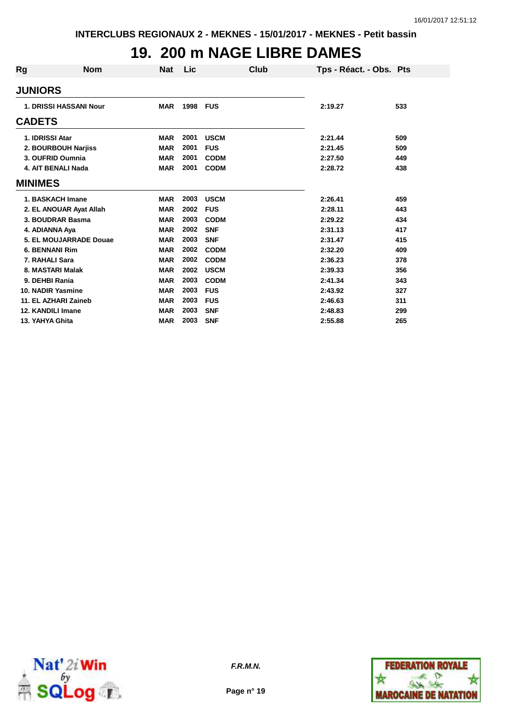### **19. 200 m NAGE LIBRE DAMES**

| Rg             | <b>Nom</b>              | <b>Nat</b> | Lic      | Club        | Tps - Réact. - Obs. Pts |     |
|----------------|-------------------------|------------|----------|-------------|-------------------------|-----|
| <b>JUNIORS</b> |                         |            |          |             |                         |     |
|                | 1. DRISSI HASSANI Nour  | <b>MAR</b> | 1998 FUS |             | 2:19.27                 | 533 |
| <b>CADETS</b>  |                         |            |          |             |                         |     |
|                | 1. IDRISSI Atar         | <b>MAR</b> | 2001     | <b>USCM</b> | 2:21.44                 | 509 |
|                | 2. BOURBOUH Narjiss     | <b>MAR</b> | 2001     | <b>FUS</b>  | 2:21.45                 | 509 |
|                | 3. OUFRID Oumnia        | <b>MAR</b> | 2001     | <b>CODM</b> | 2:27.50                 | 449 |
|                | 4. AIT BENALI Nada      | <b>MAR</b> | 2001     | <b>CODM</b> | 2:28.72                 | 438 |
| <b>MINIMES</b> |                         |            |          |             |                         |     |
|                | 1. BASKACH Imane        | <b>MAR</b> | 2003     | <b>USCM</b> | 2:26.41                 | 459 |
|                | 2. EL ANOUAR Ayat Allah | <b>MAR</b> | 2002     | <b>FUS</b>  | 2:28.11                 | 443 |
|                | 3. BOUDRAR Basma        | <b>MAR</b> | 2003     | <b>CODM</b> | 2:29.22                 | 434 |
|                | 4. ADIANNA Aya          | <b>MAR</b> | 2002     | <b>SNF</b>  | 2:31.13                 | 417 |
|                | 5. EL MOUJARRADE Douae  | <b>MAR</b> | 2003     | <b>SNF</b>  | 2:31.47                 | 415 |
|                | <b>6. BENNANI Rim</b>   | <b>MAR</b> | 2002     | <b>CODM</b> | 2:32.20                 | 409 |
|                | 7. RAHALI Sara          | <b>MAR</b> | 2002     | <b>CODM</b> | 2:36.23                 | 378 |
|                | 8. MASTARI Malak        | <b>MAR</b> | 2002     | <b>USCM</b> | 2:39.33                 | 356 |
|                | 9. DEHBI Rania          | <b>MAR</b> | 2003     | <b>CODM</b> | 2:41.34                 | 343 |
|                | 10. NADIR Yasmine       | <b>MAR</b> | 2003     | <b>FUS</b>  | 2:43.92                 | 327 |
|                | 11. EL AZHARI Zaineb    | <b>MAR</b> | 2003     | <b>FUS</b>  | 2:46.63                 | 311 |
|                | 12. KANDILI Imane       | <b>MAR</b> | 2003     | <b>SNF</b>  | 2:48.83                 | 299 |
|                | 13. YAHYA Ghita         | <b>MAR</b> | 2003     | <b>SNF</b>  | 2:55.88                 | 265 |



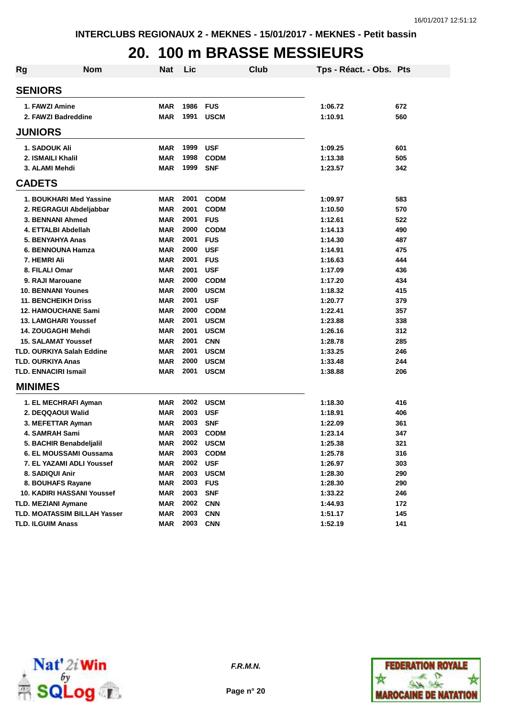#### **20. 100 m BRASSE MESSIEURS**

| <b>Rg</b> | <b>Nom</b>                       | <b>Nat</b> | Lic  | Club        | Tps - Réact. - Obs. Pts |     |
|-----------|----------------------------------|------------|------|-------------|-------------------------|-----|
|           | <b>SENIORS</b>                   |            |      |             |                         |     |
|           | 1. FAWZI Amine                   | MAR        | 1986 | <b>FUS</b>  | 1:06.72                 | 672 |
|           | 2. FAWZI Badreddine              | MAR        | 1991 | <b>USCM</b> | 1:10.91                 | 560 |
|           | <b>JUNIORS</b>                   |            |      |             |                         |     |
|           | <b>1. SADOUK Ali</b>             | <b>MAR</b> | 1999 | <b>USF</b>  | 1:09.25                 | 601 |
|           | 2. ISMAILI Khalil                | <b>MAR</b> | 1998 | <b>CODM</b> | 1:13.38                 | 505 |
|           | 3. ALAMI Mehdi                   | <b>MAR</b> | 1999 | <b>SNF</b>  | 1:23.57                 | 342 |
|           | <b>CADETS</b>                    |            |      |             |                         |     |
|           | 1. BOUKHARI Med Yassine          | MAR        | 2001 | <b>CODM</b> | 1:09.97                 | 583 |
|           | 2. REGRAGUI Abdeljabbar          | <b>MAR</b> | 2001 | <b>CODM</b> | 1:10.50                 | 570 |
|           | 3. BENNANI Ahmed                 | <b>MAR</b> | 2001 | <b>FUS</b>  | 1:12.61                 | 522 |
|           | 4. ETTALBI Abdellah              | <b>MAR</b> | 2000 | <b>CODM</b> | 1:14.13                 | 490 |
|           | 5. BENYAHYA Anas                 | <b>MAR</b> | 2001 | <b>FUS</b>  | 1:14.30                 | 487 |
|           | 6. BENNOUNA Hamza                | <b>MAR</b> | 2000 | <b>USF</b>  | 1:14.91                 | 475 |
|           | 7. HEMRI Ali                     | <b>MAR</b> | 2001 | <b>FUS</b>  | 1:16.63                 | 444 |
|           | 8. FILALI Omar                   | MAR        | 2001 | <b>USF</b>  | 1:17.09                 | 436 |
|           | 9. RAJI Marouane                 | MAR        | 2000 | <b>CODM</b> | 1:17.20                 | 434 |
|           | <b>10. BENNANI Younes</b>        | MAR        | 2000 | <b>USCM</b> | 1:18.32                 | 415 |
|           | <b>11. BENCHEIKH Driss</b>       | <b>MAR</b> | 2001 | <b>USF</b>  | 1:20.77                 | 379 |
|           | <b>12. HAMOUCHANE Sami</b>       | <b>MAR</b> | 2000 | <b>CODM</b> | 1:22.41                 | 357 |
|           | <b>13. LAMGHARI Youssef</b>      | <b>MAR</b> | 2001 | <b>USCM</b> | 1:23.88                 | 338 |
|           | 14. ZOUGAGHI Mehdi               | MAR        | 2001 | <b>USCM</b> | 1:26.16                 | 312 |
|           | <b>15. SALAMAT Youssef</b>       | MAR        | 2001 | <b>CNN</b>  | 1:28.78                 | 285 |
|           | <b>TLD. OURKIYA Salah Eddine</b> | MAR        | 2001 | <b>USCM</b> | 1:33.25                 | 246 |
|           | <b>TLD. OURKIYA Anas</b>         | <b>MAR</b> | 2000 | <b>USCM</b> | 1:33.48                 | 244 |
|           | <b>TLD. ENNACIRI Ismail</b>      | MAR        | 2001 | <b>USCM</b> | 1:38.88                 | 206 |
|           | <b>MINIMES</b>                   |            |      |             |                         |     |
|           | 1. EL MECHRAFI Ayman             | <b>MAR</b> | 2002 | <b>USCM</b> | 1:18.30                 | 416 |
|           | 2. DEQQAOUI Walid                | <b>MAR</b> | 2003 | <b>USF</b>  | 1:18.91                 | 406 |
|           | 3. MEFETTAR Ayman                | MAR        | 2003 | <b>SNF</b>  | 1:22.09                 | 361 |
|           | 4. SAMRAH Sami                   | MAR        | 2003 | <b>CODM</b> | 1:23.14                 | 347 |
|           | 5. BACHIR Benabdeljalil          | <b>MAR</b> | 2002 | <b>USCM</b> | 1:25.38                 | 321 |
|           | 6. EL MOUSSAMI Oussama           | <b>MAR</b> | 2003 | <b>CODM</b> | 1:25.78                 | 316 |
|           | 7. EL YAZAMI ADLI Youssef        | MAR        | 2002 | <b>USF</b>  | 1:26.97                 | 303 |
|           | 8. SADIQUI Anir                  | <b>MAR</b> | 2003 | <b>USCM</b> | 1:28.30                 | 290 |
|           | 8. BOUHAFS Rayane                | <b>MAR</b> | 2003 | <b>FUS</b>  | 1:28.30                 | 290 |
|           | 10. KADIRI HASSANI Youssef       | <b>MAR</b> | 2003 | <b>SNF</b>  | 1:33.22                 | 246 |
|           | <b>TLD. MEZIANI Aymane</b>       | <b>MAR</b> | 2002 | <b>CNN</b>  | 1:44.93                 | 172 |
|           | TLD. MOATASSIM BILLAH Yasser     | <b>MAR</b> | 2003 | <b>CNN</b>  | 1:51.17                 | 145 |
|           | <b>TLD. ILGUIM Anass</b>         | <b>MAR</b> | 2003 | <b>CNN</b>  | 1:52.19                 | 141 |



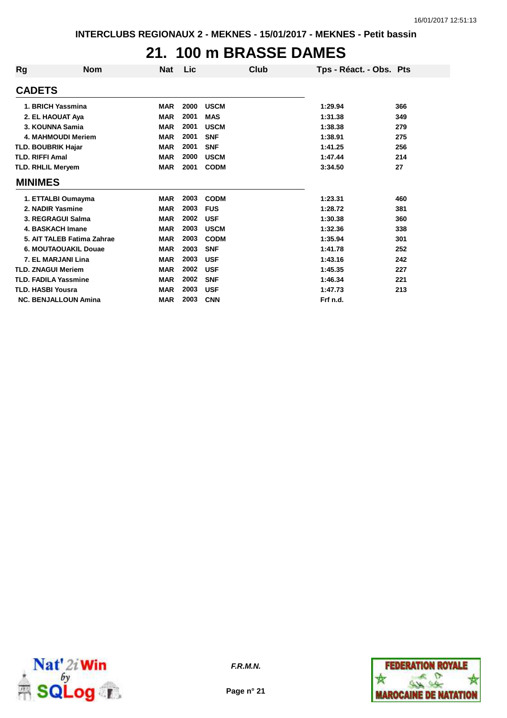#### **21. 100 m BRASSE DAMES**

| Rg             | <b>Nom</b>                  | <b>Nat</b> | Lic  | Club        | Tps - Réact. - Obs. Pts |     |
|----------------|-----------------------------|------------|------|-------------|-------------------------|-----|
| <b>CADETS</b>  |                             |            |      |             |                         |     |
|                | 1. BRICH Yassmina           | <b>MAR</b> | 2000 | <b>USCM</b> | 1:29.94                 | 366 |
|                | 2. EL HAOUAT Aya            | <b>MAR</b> | 2001 | <b>MAS</b>  | 1:31.38                 | 349 |
|                | 3. KOUNNA Samia             | <b>MAR</b> | 2001 | <b>USCM</b> | 1:38.38                 | 279 |
|                | <b>4. MAHMOUDI Meriem</b>   | <b>MAR</b> | 2001 | <b>SNF</b>  | 1:38.91                 | 275 |
|                | <b>TLD. BOUBRIK Hajar</b>   | <b>MAR</b> | 2001 | <b>SNF</b>  | 1:41.25                 | 256 |
|                | <b>TLD. RIFFI Amal</b>      | <b>MAR</b> | 2000 | <b>USCM</b> | 1:47.44                 | 214 |
|                | <b>TLD. RHLIL Meryem</b>    | <b>MAR</b> | 2001 | <b>CODM</b> | 3:34.50                 | 27  |
| <b>MINIMES</b> |                             |            |      |             |                         |     |
|                | 1. ETTALBI Oumayma          | <b>MAR</b> | 2003 | <b>CODM</b> | 1:23.31                 | 460 |
|                | 2. NADIR Yasmine            | <b>MAR</b> | 2003 | <b>FUS</b>  | 1:28.72                 | 381 |
|                | 3. REGRAGUI Salma           | <b>MAR</b> | 2002 | <b>USF</b>  | 1:30.38                 | 360 |
|                | <b>4. BASKACH Imane</b>     | <b>MAR</b> | 2003 | <b>USCM</b> | 1:32.36                 | 338 |
|                | 5. AIT TALEB Fatima Zahrae  | <b>MAR</b> | 2003 | <b>CODM</b> | 1:35.94                 | 301 |
|                | 6. MOUTAOUAKIL Douae        | <b>MAR</b> | 2003 | <b>SNF</b>  | 1:41.78                 | 252 |
|                | 7. EL MARJANI Lina          | <b>MAR</b> | 2003 | <b>USF</b>  | 1:43.16                 | 242 |
|                | <b>TLD. ZNAGUI Meriem</b>   | <b>MAR</b> | 2002 | <b>USF</b>  | 1:45.35                 | 227 |
|                | <b>TLD. FADILA Yassmine</b> | <b>MAR</b> | 2002 | <b>SNF</b>  | 1:46.34                 | 221 |
|                | <b>TLD. HASBI Yousra</b>    | <b>MAR</b> | 2003 | <b>USF</b>  | 1:47.73                 | 213 |
|                | <b>NC. BENJALLOUN Amina</b> | <b>MAR</b> | 2003 | <b>CNN</b>  | Frf n.d.                |     |



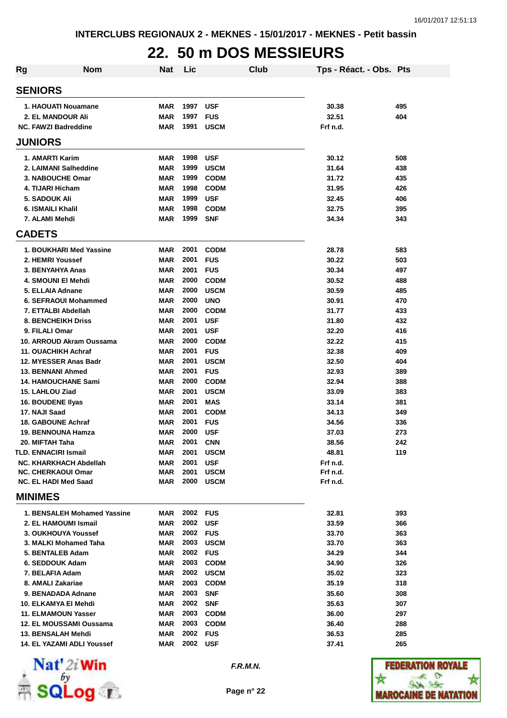### **22. 50 m DOS MESSIEURS**

| <b>Rg</b>                          | <b>Nom</b>                        | <b>Nat</b>               | Lic          |                           | <b>Club</b> | Tps - Réact. - Obs. Pts |            |
|------------------------------------|-----------------------------------|--------------------------|--------------|---------------------------|-------------|-------------------------|------------|
| <b>SENIORS</b>                     |                                   |                          |              |                           |             |                         |            |
|                                    | 1. HAOUATI Nouamane               | <b>MAR</b>               | 1997         | <b>USF</b>                |             | 30.38                   | 495        |
|                                    | 2. EL MANDOUR Ali                 | <b>MAR</b>               | 1997         | <b>FUS</b>                |             | 32.51                   | 404        |
|                                    | <b>NC. FAWZI Badreddine</b>       | <b>MAR</b>               | 1991         | <b>USCM</b>               |             | Frf n.d.                |            |
| <b>JUNIORS</b>                     |                                   |                          |              |                           |             |                         |            |
|                                    |                                   |                          |              |                           |             |                         |            |
| 1. AMARTI Karim                    |                                   | MAR                      | 1998         | <b>USF</b>                |             | 30.12                   | 508        |
|                                    | 2. LAIMANI Salheddine             | <b>MAR</b>               | 1999         | <b>USCM</b>               |             | 31.64                   | 438        |
|                                    | <b>3. NABOUCHE Omar</b>           | <b>MAR</b>               | 1999         | <b>CODM</b>               |             | 31.72                   | 435        |
| 4. TIJARI Hicham                   |                                   | <b>MAR</b>               | 1998         | <b>CODM</b>               |             | 31.95                   | 426        |
| <b>5. SADOUK Ali</b>               |                                   | <b>MAR</b>               | 1999         | <b>USF</b>                |             | 32.45                   | 406        |
| 6. ISMAILI Khalil                  |                                   | <b>MAR</b>               | 1998         | <b>CODM</b>               |             | 32.75                   | 395        |
| 7. ALAMI Mehdi                     |                                   | <b>MAR</b>               | 1999         | <b>SNF</b>                |             | 34.34                   | 343        |
| <b>CADETS</b>                      |                                   |                          |              |                           |             |                         |            |
|                                    | 1. BOUKHARI Med Yassine           | <b>MAR</b>               | 2001         | <b>CODM</b>               |             | 28.78                   | 583        |
| 2. HEMRI Youssef                   |                                   | <b>MAR</b>               | 2001         | <b>FUS</b>                |             | 30.22                   | 503        |
|                                    | 3. BENYAHYA Anas                  | <b>MAR</b>               | 2001         | <b>FUS</b>                |             | 30.34                   | 497        |
|                                    | 4. SMOUNI EI Mehdi                | <b>MAR</b>               | 2000         | <b>CODM</b>               |             | 30.52                   | 488        |
| 5. ELLAIA Adnane                   |                                   | <b>MAR</b>               | 2000         | <b>USCM</b>               |             | 30.59                   | 485        |
|                                    | 6. SEFRAOUI Mohammed              | <b>MAR</b>               | 2000         | <b>UNO</b>                |             | 30.91                   | 470        |
|                                    | 7. ETTALBI Abdellah               | <b>MAR</b>               | 2000         | <b>CODM</b>               |             | 31.77                   | 433        |
|                                    | <b>8. BENCHEIKH Driss</b>         | <b>MAR</b>               | 2001         | <b>USF</b>                |             | 31.80                   | 432        |
| 9. FILALI Omar                     |                                   | <b>MAR</b>               | 2001         | <b>USF</b>                |             | 32.20                   | 416        |
|                                    | 10. ARROUD Akram Oussama          | <b>MAR</b>               | 2000         | <b>CODM</b>               |             | 32.22                   | 415        |
|                                    | <b>11. OUACHIKH Achraf</b>        | <b>MAR</b>               | 2001         | <b>FUS</b>                |             | 32.38                   | 409        |
|                                    | 12. MYESSER Anas Badr             | <b>MAR</b>               | 2001         | <b>USCM</b>               |             | 32.50                   | 404        |
|                                    | 13. BENNANI Ahmed                 | <b>MAR</b>               | 2001         | <b>FUS</b>                |             | 32.93                   | 389        |
|                                    | <b>14. HAMOUCHANE Sami</b>        | <b>MAR</b>               | 2000         | <b>CODM</b>               |             | 32.94                   | 388        |
| 15. LAHLOU Ziad                    |                                   | <b>MAR</b>               | 2001         | <b>USCM</b>               |             | 33.09                   | 383        |
| 16. BOUDENE Ilyas<br>17. NAJI Saad |                                   | <b>MAR</b>               | 2001<br>2001 | <b>MAS</b>                |             | 33.14                   | 381        |
|                                    | <b>18. GABOUNE Achraf</b>         | <b>MAR</b><br><b>MAR</b> | 2001         | <b>CODM</b><br><b>FUS</b> |             | 34.13                   | 349<br>336 |
|                                    | <b>19. BENNOUNA Hamza</b>         | MAR                      | 2000         | <b>USF</b>                |             | 34.56<br>37.03          | 273        |
| 20. MIFTAH Taha                    |                                   | <b>MAR</b>               | 2001         | <b>CNN</b>                |             | 38.56                   | 242        |
| TLD. ENNACIRI Ismail               |                                   | MAR                      | 2001         | <b>USCM</b>               |             | 48.81                   | 119        |
|                                    | NC. KHARKHACH Abdellah            | MAR                      | 2001         | <b>USF</b>                |             | Frf n.d.                |            |
|                                    | <b>NC. CHERKAOUI Omar</b>         | MAR                      | 2001         | <b>USCM</b>               |             | Frf n.d.                |            |
|                                    | NC. EL HADI Med Saad              | MAR                      | 2000         | <b>USCM</b>               |             | Frf n.d.                |            |
| <b>MINIMES</b>                     |                                   |                          |              |                           |             |                         |            |
|                                    | 1. BENSALEH Mohamed Yassine       | MAR                      | 2002         | <b>FUS</b>                |             | 32.81                   | 393        |
|                                    | 2. EL HAMOUMI Ismail              | MAR                      | 2002         | <b>USF</b>                |             | 33.59                   | 366        |
|                                    | 3. OUKHOUYA Youssef               | MAR                      | 2002         | <b>FUS</b>                |             | 33.70                   | 363        |
|                                    | 3. MALKI Mohamed Taha             | MAR                      | 2003         | <b>USCM</b>               |             | 33.70                   | 363        |
|                                    | 5. BENTALEB Adam                  | <b>MAR</b>               | 2002         | <b>FUS</b>                |             | 34.29                   | 344        |
|                                    | 6. SEDDOUK Adam                   | <b>MAR</b>               | 2003         | <b>CODM</b>               |             | 34.90                   | 326        |
| 7. BELAFIA Adam                    |                                   | <b>MAR</b>               | 2002         | <b>USCM</b>               |             | 35.02                   | 323        |
|                                    | 8. AMALI Zakariae                 | <b>MAR</b>               | 2003         | <b>CODM</b>               |             | 35.19                   | 318        |
|                                    | 9. BENADADA Adnane                | <b>MAR</b>               | 2003         | <b>SNF</b>                |             | 35.60                   | 308        |
|                                    | 10. ELKAMYA EI Mehdi              | <b>MAR</b>               | 2002         | <b>SNF</b>                |             | 35.63                   | 307        |
|                                    | <b>11. ELMAMOUN Yasser</b>        | <b>MAR</b>               | 2003         | <b>CODM</b>               |             | 36.00                   | 297        |
|                                    | 12. EL MOUSSAMI Oussama           | MAR                      | 2003         | <b>CODM</b>               |             | 36.40                   | 288        |
|                                    | 13. BENSALAH Mehdi                | <b>MAR</b>               | 2002         | <b>FUS</b>                |             | 36.53                   | 285        |
|                                    | <b>14. EL YAZAMI ADLI Youssef</b> | MAR                      | 2002         | <b>USF</b>                |             | 37.41                   | 265        |



**F.R.M.N.**

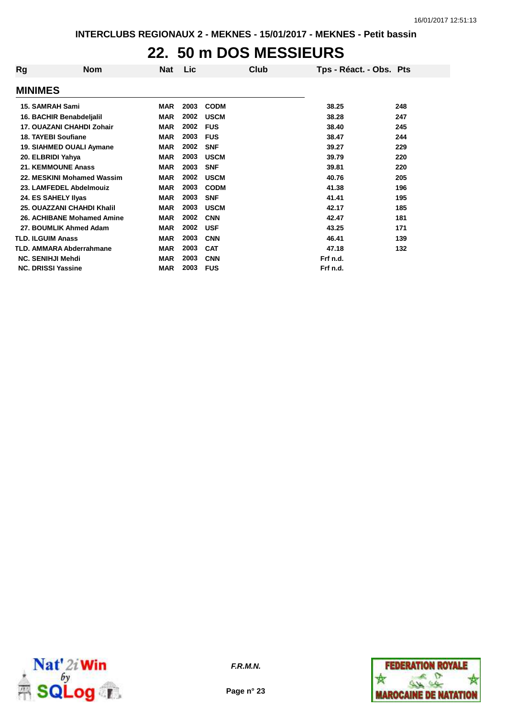#### **22. 50 m DOS MESSIEURS**

| Rg                        | Nom                             | Nat        | Lic  | Club        | Tps - Réact. - Obs. Pts |     |
|---------------------------|---------------------------------|------------|------|-------------|-------------------------|-----|
| <b>MINIMES</b>            |                                 |            |      |             |                         |     |
| <b>15. SAMRAH Sami</b>    |                                 | <b>MAR</b> | 2003 | <b>CODM</b> | 38.25                   | 248 |
|                           | 16. BACHIR Benabdeljalil        | <b>MAR</b> | 2002 | <b>USCM</b> | 38.28                   | 247 |
|                           | 17. OUAZANI CHAHDI Zohair       | <b>MAR</b> | 2002 | <b>FUS</b>  | 38.40                   | 245 |
|                           | 18. TAYEBI Soufiane             | <b>MAR</b> | 2003 | <b>FUS</b>  | 38.47                   | 244 |
|                           | <b>19. SIAHMED OUALI Aymane</b> | <b>MAR</b> | 2002 | <b>SNF</b>  | 39.27                   | 229 |
| 20. ELBRIDI Yahya         |                                 | <b>MAR</b> | 2003 | <b>USCM</b> | 39.79                   | 220 |
|                           | <b>21. KEMMOUNE Anass</b>       | <b>MAR</b> | 2003 | <b>SNF</b>  | 39.81                   | 220 |
|                           | 22. MESKINI Mohamed Wassim      | <b>MAR</b> | 2002 | <b>USCM</b> | 40.76                   | 205 |
|                           | 23. LAMFEDEL Abdelmouiz         | <b>MAR</b> | 2003 | <b>CODM</b> | 41.38                   | 196 |
|                           | 24. ES SAHELY Ilyas             | <b>MAR</b> | 2003 | <b>SNF</b>  | 41.41                   | 195 |
|                           | 25. OUAZZANI CHAHDI Khalil      | <b>MAR</b> | 2003 | <b>USCM</b> | 42.17                   | 185 |
|                           | 26. ACHIBANE Mohamed Amine      | <b>MAR</b> | 2002 | <b>CNN</b>  | 42.47                   | 181 |
|                           | 27. BOUMLIK Ahmed Adam          | <b>MAR</b> | 2002 | <b>USF</b>  | 43.25                   | 171 |
| <b>TLD. ILGUIM Anass</b>  |                                 | <b>MAR</b> | 2003 | <b>CNN</b>  | 46.41                   | 139 |
|                           | <b>TLD. AMMARA Abderrahmane</b> | <b>MAR</b> | 2003 | <b>CAT</b>  | 47.18                   | 132 |
| <b>NC. SENIHJI Mehdi</b>  |                                 | <b>MAR</b> | 2003 | <b>CNN</b>  | Frf n.d.                |     |
| <b>NC. DRISSI Yassine</b> |                                 | <b>MAR</b> | 2003 | <b>FUS</b>  | Frf n.d.                |     |



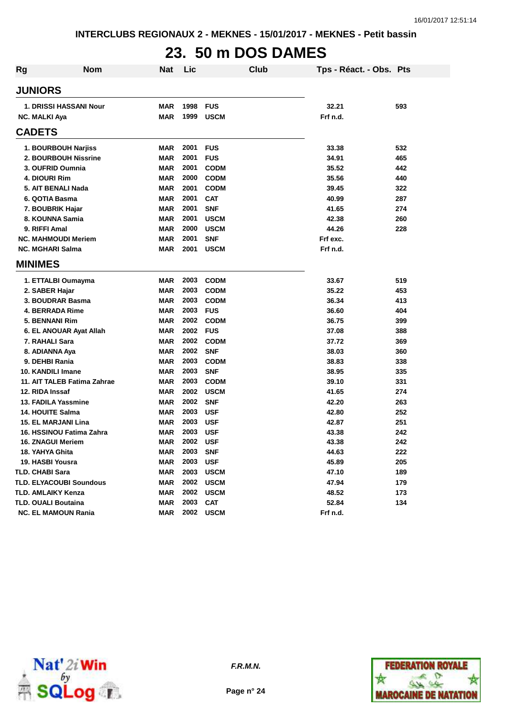# **23. 50 m DOS DAMES**

| <b>Rg</b> | <b>Nom</b>                     | <b>Nat</b> | Lic  | Club        | Tps - Réact. - Obs. Pts |     |
|-----------|--------------------------------|------------|------|-------------|-------------------------|-----|
|           | <b>JUNIORS</b>                 |            |      |             |                         |     |
|           | 1. DRISSI HASSANI Nour         | <b>MAR</b> | 1998 | <b>FUS</b>  | 32.21                   | 593 |
|           | <b>NC. MALKI Aya</b>           | <b>MAR</b> | 1999 | <b>USCM</b> | Frf n.d.                |     |
|           | <b>CADETS</b>                  |            |      |             |                         |     |
|           | 1. BOURBOUH Narjiss            | <b>MAR</b> | 2001 | <b>FUS</b>  | 33.38                   | 532 |
|           | 2. BOURBOUH Nissrine           | <b>MAR</b> | 2001 | <b>FUS</b>  | 34.91                   | 465 |
|           | 3. OUFRID Oumnia               | <b>MAR</b> | 2001 | <b>CODM</b> | 35.52                   | 442 |
|           | 4. DIOURI Rim                  | <b>MAR</b> | 2000 | <b>CODM</b> | 35.56                   | 440 |
|           | 5. AIT BENALI Nada             | <b>MAR</b> | 2001 | <b>CODM</b> | 39.45                   | 322 |
|           | 6. QOTIA Basma                 | <b>MAR</b> | 2001 | <b>CAT</b>  | 40.99                   | 287 |
|           | 7. BOUBRIK Hajar               | <b>MAR</b> | 2001 | <b>SNF</b>  | 41.65                   | 274 |
|           | 8. KOUNNA Samia                | <b>MAR</b> | 2001 | <b>USCM</b> | 42.38                   | 260 |
|           | 9. RIFFI Amal                  | <b>MAR</b> | 2000 | <b>USCM</b> | 44.26                   | 228 |
|           | <b>NC. MAHMOUDI Meriem</b>     | <b>MAR</b> | 2001 | <b>SNF</b>  | Frf exc.                |     |
|           | <b>NC. MGHARI Salma</b>        | <b>MAR</b> | 2001 | <b>USCM</b> | Frf n.d.                |     |
|           | <b>MINIMES</b>                 |            |      |             |                         |     |
|           | 1. ETTALBI Oumayma             | <b>MAR</b> | 2003 | <b>CODM</b> | 33.67                   | 519 |
|           | 2. SABER Hajar                 | <b>MAR</b> | 2003 | <b>CODM</b> | 35.22                   | 453 |
|           | 3. BOUDRAR Basma               | <b>MAR</b> | 2003 | <b>CODM</b> | 36.34                   | 413 |
|           | 4. BERRADA Rime                | <b>MAR</b> | 2003 | <b>FUS</b>  | 36.60                   | 404 |
|           | 5. BENNANI Rim                 | <b>MAR</b> | 2002 | <b>CODM</b> | 36.75                   | 399 |
|           | 6. EL ANOUAR Ayat Allah        | <b>MAR</b> | 2002 | <b>FUS</b>  | 37.08                   | 388 |
|           | 7. RAHALI Sara                 | <b>MAR</b> | 2002 | <b>CODM</b> | 37.72                   | 369 |
|           | 8. ADIANNA Aya                 | <b>MAR</b> | 2002 | <b>SNF</b>  | 38.03                   | 360 |
|           | 9. DEHBI Rania                 | <b>MAR</b> | 2003 | <b>CODM</b> | 38.83                   | 338 |
|           | 10. KANDILI Imane              | <b>MAR</b> | 2003 | <b>SNF</b>  | 38.95                   | 335 |
|           | 11. AIT TALEB Fatima Zahrae    | <b>MAR</b> | 2003 | <b>CODM</b> | 39.10                   | 331 |
|           | 12. RIDA Inssaf                | <b>MAR</b> | 2002 | <b>USCM</b> | 41.65                   | 274 |
|           | 13. FADILA Yassmine            | <b>MAR</b> | 2002 | <b>SNF</b>  | 42.20                   | 263 |
|           | 14. HOUITE Salma               | <b>MAR</b> | 2003 | <b>USF</b>  | 42.80                   | 252 |
|           | <b>15. EL MARJANI Lina</b>     | <b>MAR</b> | 2003 | <b>USF</b>  | 42.87                   | 251 |
|           | 16. HSSINOU Fatima Zahra       | <b>MAR</b> | 2003 | <b>USF</b>  | 43.38                   | 242 |
|           | 16. ZNAGUI Meriem              | <b>MAR</b> | 2002 | <b>USF</b>  | 43.38                   | 242 |
|           | 18. YAHYA Ghita                | <b>MAR</b> | 2003 | <b>SNF</b>  | 44.63                   | 222 |
|           | 19. HASBI Yousra               | <b>MAR</b> | 2003 | <b>USF</b>  | 45.89                   | 205 |
|           | <b>TLD. CHABI Sara</b>         | <b>MAR</b> | 2003 | <b>USCM</b> | 47.10                   | 189 |
|           | <b>TLD. ELYACOUBI Soundous</b> | <b>MAR</b> | 2002 | <b>USCM</b> | 47.94                   | 179 |
|           | TLD. AMLAIKY Kenza             | <b>MAR</b> | 2002 | <b>USCM</b> | 48.52                   | 173 |
|           | <b>TLD. OUALI Boutaina</b>     | <b>MAR</b> | 2003 | <b>CAT</b>  | 52.84                   | 134 |
|           | <b>NC. EL MAMOUN Rania</b>     | <b>MAR</b> | 2002 | <b>USCM</b> | Frf n.d.                |     |



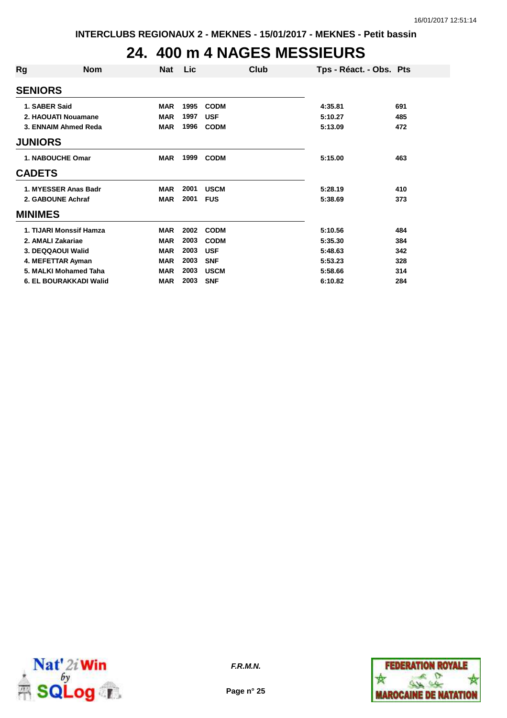#### **24. 400 m 4 NAGES MESSIEURS**

| Rg             | Nom                     | Nat        | Lic  | Club        | Tps - Réact. - Obs. Pts |     |
|----------------|-------------------------|------------|------|-------------|-------------------------|-----|
| <b>SENIORS</b> |                         |            |      |             |                         |     |
| 1. SABER Said  |                         | <b>MAR</b> | 1995 | <b>CODM</b> | 4:35.81                 | 691 |
|                | 2. HAOUATI Nouamane     | <b>MAR</b> | 1997 | <b>USF</b>  | 5:10.27                 | 485 |
|                | 3. ENNAIM Ahmed Reda    | <b>MAR</b> | 1996 | <b>CODM</b> | 5:13.09                 | 472 |
| <b>JUNIORS</b> |                         |            |      |             |                         |     |
|                | 1. NABOUCHE Omar        | MAR        | 1999 | <b>CODM</b> | 5:15.00                 | 463 |
| <b>CADETS</b>  |                         |            |      |             |                         |     |
|                | 1. MYESSER Anas Badr    | <b>MAR</b> | 2001 | <b>USCM</b> | 5:28.19                 | 410 |
|                | 2. GABOUNE Achraf       | <b>MAR</b> | 2001 | <b>FUS</b>  | 5:38.69                 | 373 |
| <b>MINIMES</b> |                         |            |      |             |                         |     |
|                | 1. TIJARI Monssif Hamza | <b>MAR</b> | 2002 | <b>CODM</b> | 5:10.56                 | 484 |
|                | 2. AMALI Zakariae       | <b>MAR</b> | 2003 | <b>CODM</b> | 5:35.30                 | 384 |
|                | 3. DEQQAOUI Walid       | <b>MAR</b> | 2003 | <b>USF</b>  | 5:48.63                 | 342 |
|                | 4. MEFETTAR Ayman       | <b>MAR</b> | 2003 | <b>SNF</b>  | 5:53.23                 | 328 |
|                | 5. MALKI Mohamed Taha   | <b>MAR</b> | 2003 | <b>USCM</b> | 5:58.66                 | 314 |
|                | 6. EL BOURAKKADI Walid  | <b>MAR</b> | 2003 | <b>SNF</b>  | 6:10.82                 | 284 |



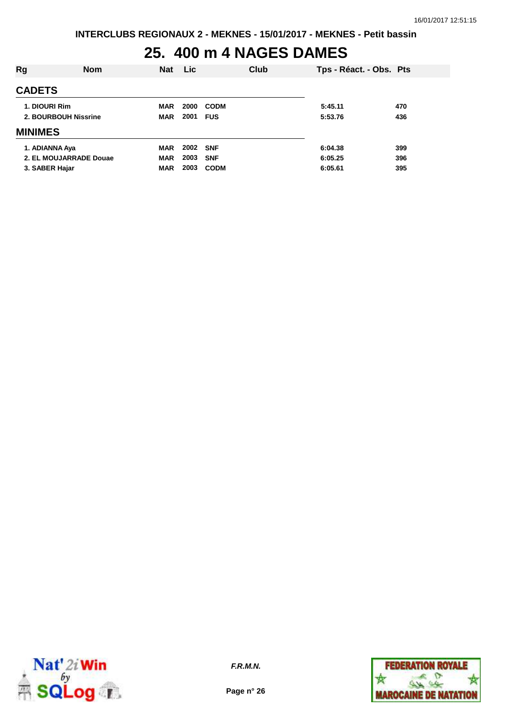## **25. 400 m 4 NAGES DAMES**

| Rg                   | <b>Nom</b>             | <b>Nat</b> | <b>Lic</b> |             | Club | Tps - Réact. - Obs. Pts |     |
|----------------------|------------------------|------------|------------|-------------|------|-------------------------|-----|
| <b>CADETS</b>        |                        |            |            |             |      |                         |     |
| 1. DIOURI Rim        |                        | <b>MAR</b> | 2000       | <b>CODM</b> |      | 5:45.11                 | 470 |
| 2. BOURBOUH Nissrine |                        | <b>MAR</b> | 2001       | <b>FUS</b>  |      | 5:53.76                 | 436 |
| <b>MINIMES</b>       |                        |            |            |             |      |                         |     |
| 1. ADIANNA Aya       |                        | <b>MAR</b> | 2002 SNF   |             |      | 6:04.38                 | 399 |
|                      | 2. EL MOUJARRADE Douae | <b>MAR</b> | 2003       | <b>SNF</b>  |      | 6:05.25                 | 396 |
| 3. SABER Hajar       |                        | <b>MAR</b> | 2003       | <b>CODM</b> |      | 6:05.61                 | 395 |



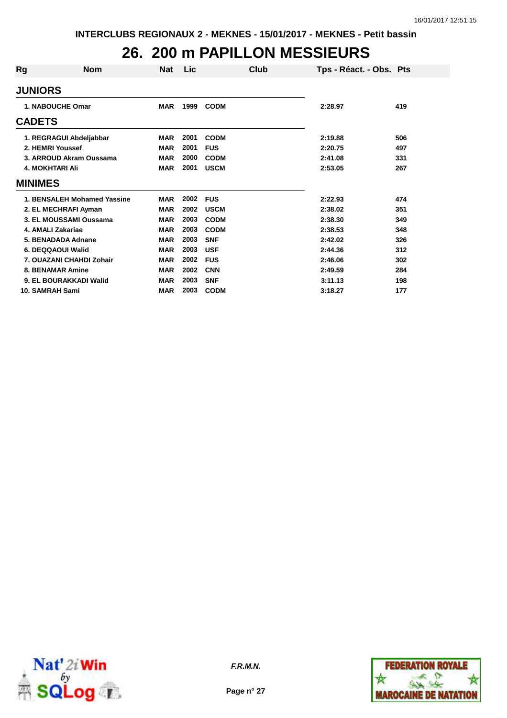### **26. 200 m PAPILLON MESSIEURS**

| Rg | <b>Nom</b>                  | Nat        | Lic  | Club        | Tps - Réact. - Obs. Pts |     |
|----|-----------------------------|------------|------|-------------|-------------------------|-----|
|    | <b>JUNIORS</b>              |            |      |             |                         |     |
|    | <b>1. NABOUCHE Omar</b>     | <b>MAR</b> | 1999 | <b>CODM</b> | 2:28.97                 | 419 |
|    | <b>CADETS</b>               |            |      |             |                         |     |
|    | 1. REGRAGUI Abdeljabbar     | <b>MAR</b> | 2001 | <b>CODM</b> | 2:19.88                 | 506 |
|    | 2. HEMRI Youssef            | <b>MAR</b> | 2001 | <b>FUS</b>  | 2:20.75                 | 497 |
|    | 3. ARROUD Akram Oussama     | <b>MAR</b> | 2000 | <b>CODM</b> | 2:41.08                 | 331 |
|    | <b>4. MOKHTARI Ali</b>      | <b>MAR</b> | 2001 | <b>USCM</b> | 2:53.05                 | 267 |
|    | <b>MINIMES</b>              |            |      |             |                         |     |
|    | 1. BENSALEH Mohamed Yassine | <b>MAR</b> | 2002 | <b>FUS</b>  | 2:22.93                 | 474 |
|    | 2. EL MECHRAFI Ayman        | <b>MAR</b> | 2002 | <b>USCM</b> | 2:38.02                 | 351 |
|    | 3. EL MOUSSAMI Oussama      | <b>MAR</b> | 2003 | <b>CODM</b> | 2:38.30                 | 349 |
|    | 4. AMALI Zakariae           | <b>MAR</b> | 2003 | <b>CODM</b> | 2:38.53                 | 348 |
|    | 5. BENADADA Adnane          | <b>MAR</b> | 2003 | <b>SNF</b>  | 2:42.02                 | 326 |
|    | 6. DEQQAOUI Walid           | <b>MAR</b> | 2003 | <b>USF</b>  | 2:44.36                 | 312 |
|    | 7. OUAZANI CHAHDI Zohair    | <b>MAR</b> | 2002 | <b>FUS</b>  | 2:46.06                 | 302 |
|    | <b>8. BENAMAR Amine</b>     | <b>MAR</b> | 2002 | <b>CNN</b>  | 2:49.59                 | 284 |
|    | 9. EL BOURAKKADI Walid      | <b>MAR</b> | 2003 | <b>SNF</b>  | 3:11.13                 | 198 |
|    | 10. SAMRAH Sami             | <b>MAR</b> | 2003 | <b>CODM</b> | 3:18.27                 | 177 |



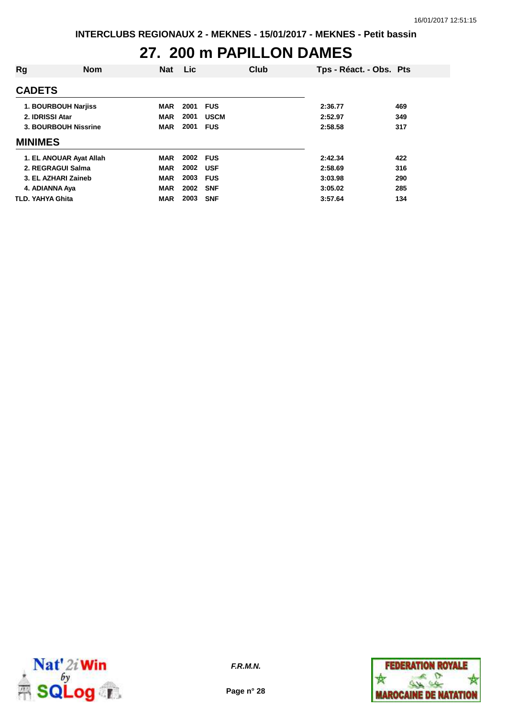### **27. 200 m PAPILLON DAMES**

| Rg                      | <b>Nom</b>              | <b>Nat</b> | <b>Lic</b> |             | Club | Tps - Réact. - Obs. Pts |     |
|-------------------------|-------------------------|------------|------------|-------------|------|-------------------------|-----|
| <b>CADETS</b>           |                         |            |            |             |      |                         |     |
|                         | 1. BOURBOUH Narjiss     | <b>MAR</b> | 2001       | <b>FUS</b>  |      | 2:36.77                 | 469 |
| 2. IDRISSI Atar         |                         | <b>MAR</b> | 2001       | <b>USCM</b> |      | 2:52.97                 | 349 |
| 3. BOURBOUH Nissrine    |                         | <b>MAR</b> | 2001       | <b>FUS</b>  |      | 2:58.58                 | 317 |
| <b>MINIMES</b>          |                         |            |            |             |      |                         |     |
|                         | 1. EL ANOUAR Ayat Allah | <b>MAR</b> | 2002       | <b>FUS</b>  |      | 2:42.34                 | 422 |
|                         | 2. REGRAGUI Salma       | <b>MAR</b> | 2002       | <b>USF</b>  |      | 2:58.69                 | 316 |
|                         | 3. EL AZHARI Zaineb     | <b>MAR</b> | 2003       | <b>FUS</b>  |      | 3:03.98                 | 290 |
| 4. ADIANNA Aya          |                         | <b>MAR</b> | 2002       | <b>SNF</b>  |      | 3:05.02                 | 285 |
| <b>TLD. YAHYA Ghita</b> |                         | <b>MAR</b> | 2003       | <b>SNF</b>  |      | 3:57.64                 | 134 |



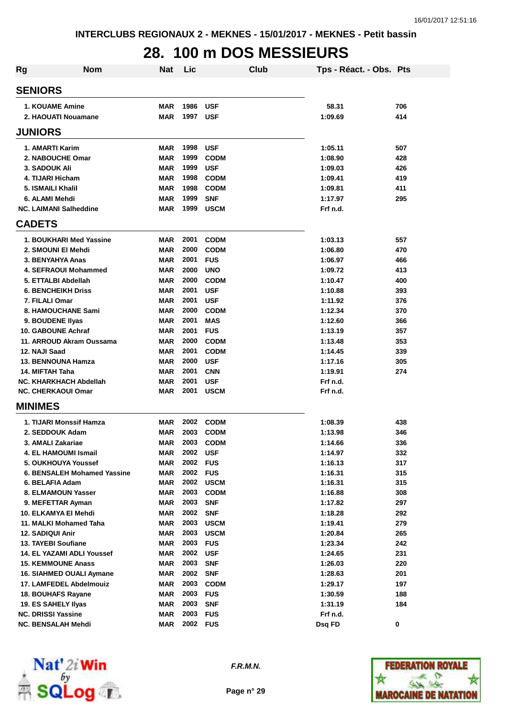# **28. 100 m DOS MESSIEURS**

| <b>Rg</b> | <b>Nom</b>                                | Nat        | Lic          | Club                      | Tps - Réact. - Obs. Pts |             |
|-----------|-------------------------------------------|------------|--------------|---------------------------|-------------------------|-------------|
|           | <b>SENIORS</b>                            |            |              |                           |                         |             |
|           | <b>1. KOUAME Amine</b>                    | MAR        | 1986         | <b>USF</b>                | 58.31                   | 706         |
|           | 2. HAOUATI Nouamane                       | MAR        | 1997         | <b>USF</b>                | 1:09.69                 | 414         |
|           | <b>JUNIORS</b>                            |            |              |                           |                         |             |
|           | 1. AMARTI Karim                           | MAR        | 1998         | <b>USF</b>                | 1:05.11                 | 507         |
|           | 2. NABOUCHE Omar                          | MAR        | 1999         | <b>CODM</b>               | 1:08.90                 | 428         |
|           | <b>3. SADOUK Ali</b>                      | MAR        | 1999         | <b>USF</b>                | 1:09.03                 | 426         |
|           | 4. TIJARI Hicham                          | MAR        | 1998         | <b>CODM</b>               | 1:09.41                 | 419         |
|           | 5. ISMAILI Khalil                         | MAR        | 1998         | <b>CODM</b>               | 1:09.81                 | 411         |
|           | 6. ALAMI Mehdi                            | MAR        | 1999         | <b>SNF</b>                | 1:17.97                 | 295         |
|           | <b>NC. LAIMANI Salheddine</b>             | MAR        | 1999         | <b>USCM</b>               | Frf n.d.                |             |
|           | <b>CADETS</b>                             |            |              |                           |                         |             |
|           | 1. BOUKHARI Med Yassine                   | MAR        | 2001         | <b>CODM</b>               | 1:03.13                 | 557         |
|           | 2. SMOUNI EI Mehdi                        | MAR        | 2000         | <b>CODM</b>               | 1:06.80                 | 470         |
|           | 3. BENYAHYA Anas                          | MAR        | 2001         | <b>FUS</b>                | 1:06.97                 | 466         |
|           | 4. SEFRAOUI Mohammed                      | MAR        | 2000         | <b>UNO</b>                | 1:09.72                 | 413         |
|           | 5. ETTALBI Abdellah                       | MAR        | 2000         | <b>CODM</b>               | 1:10.47                 | 400         |
|           | <b>6. BENCHEIKH Driss</b>                 | MAR        | 2001         | <b>USF</b>                | 1:10.88                 | 393         |
|           | 7. FILALI Omar                            | MAR        | 2001         | <b>USF</b>                | 1:11.92                 | 376         |
|           | <b>8. HAMOUCHANE Sami</b>                 | MAR        | 2000         | <b>CODM</b>               | 1:12.34                 | 370         |
|           | 9. BOUDENE IIyas                          | MAR        | 2001         | <b>MAS</b>                | 1:12.60                 | 366         |
|           | 10. GABOUNE Achraf                        | MAR        | 2001         | <b>FUS</b>                | 1:13.19                 | 357         |
|           | 11. ARROUD Akram Oussama                  | MAR        | 2000         | <b>CODM</b>               | 1:13.48                 | 353         |
|           | 12. NAJI Saad                             | MAR        | 2001         | <b>CODM</b>               | 1:14.45                 | 339         |
|           | 13. BENNOUNA Hamza<br>14. MIFTAH Taha     | MAR<br>MAR | 2000<br>2001 | <b>USF</b><br><b>CNN</b>  | 1:17.16                 | 305         |
|           | NC. KHARKHACH Abdellah                    | MAR        | 2001         | <b>USF</b>                | 1:19.91<br>Frf n.d.     | 274         |
|           | <b>NC. CHERKAOUI Omar</b>                 | MAR        | 2001         | <b>USCM</b>               | Frf n.d.                |             |
|           | <b>MINIMES</b>                            |            |              |                           |                         |             |
|           |                                           |            |              |                           |                         |             |
|           | 1. TIJARI Monssif Hamza                   | MAR        | 2002         | <b>CODM</b>               | 1:08.39                 | 438         |
|           | 2. SEDDOUK Adam                           | MAR<br>MAR | 2003<br>2003 | <b>CODM</b>               | 1:13.98                 | 346<br>336  |
|           | 3. AMALI Zakariae<br>4. EL HAMOUMI Ismail | MAR        | 2002         | <b>CODM</b><br><b>USF</b> | 1:14.66<br>1:14.97      | 332         |
|           | 5. OUKHOUYA Youssef                       | MAR        | 2002         | <b>FUS</b>                | 1:16.13                 | 317         |
|           | 6. BENSALEH Mohamed Yassine               | <b>MAR</b> | 2002 FUS     |                           | 1:16.31                 | 315         |
|           | 6. BELAFIA Adam                           | <b>MAR</b> | 2002         | <b>USCM</b>               | 1:16.31                 | 315         |
|           | 8. ELMAMOUN Yasser                        | MAR        | 2003         | <b>CODM</b>               | 1:16.88                 | 308         |
|           | 9. MEFETTAR Ayman                         | <b>MAR</b> | 2003         | <b>SNF</b>                | 1:17.82                 | 297         |
|           | 10. ELKAMYA El Mehdi                      | MAR        | 2002         | <b>SNF</b>                | 1:18.28                 | 292         |
|           | 11. MALKI Mohamed Taha                    | <b>MAR</b> | 2003         | <b>USCM</b>               | 1:19.41                 | 279         |
|           | 12. SADIQUI Anir                          | MAR        | 2003         | <b>USCM</b>               | 1:20.84                 | 265         |
|           | <b>13. TAYEBI Soufiane</b>                | MAR        | 2003 FUS     |                           | 1:23.34                 | 242         |
|           | <b>14. EL YAZAMI ADLI Youssef</b>         | <b>MAR</b> | 2002         | <b>USF</b>                | 1:24.65                 | 231         |
|           | <b>15. KEMMOUNE Anass</b>                 | MAR        | 2003         | <b>SNF</b>                | 1:26.03                 | 220         |
|           | 16. SIAHMED OUALI Aymane                  | MAR        | 2002         | <b>SNF</b>                | 1:28.63                 | 201         |
|           | 17. LAMFEDEL Abdelmouiz                   | MAR        | 2003         | <b>CODM</b>               | 1:29.17                 | 197         |
|           | 18. BOUHAFS Rayane                        | <b>MAR</b> | 2003         | <b>FUS</b>                | 1:30.59                 | 188         |
|           | 19. ES SAHELY Ilyas                       | <b>MAR</b> | 2003         | <b>SNF</b>                | 1:31.19                 | 184         |
|           | <b>NC. DRISSI Yassine</b>                 | <b>MAR</b> | 2003         | <b>FUS</b>                | Frf n.d.                |             |
|           | NC. BENSALAH Mehdi                        | <b>MAR</b> | 2002 FUS     |                           | Dsq FD                  | $\mathbf 0$ |



**F.R.M.N.**

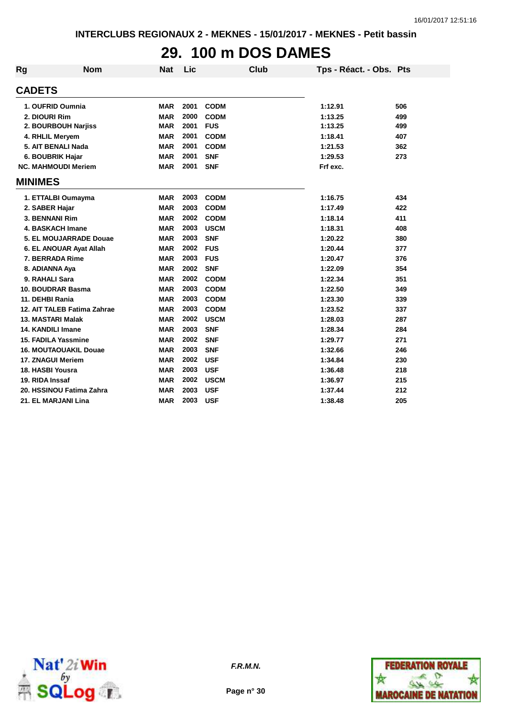# **29. 100 m DOS DAMES**

| Rg             | <b>Nom</b>                   | <b>Nat</b> | Lic  | <b>Club</b> | Tps - Réact. - Obs. Pts |     |
|----------------|------------------------------|------------|------|-------------|-------------------------|-----|
| <b>CADETS</b>  |                              |            |      |             |                         |     |
|                | 1. OUFRID Oumnia             | <b>MAR</b> | 2001 | <b>CODM</b> | 1:12.91                 | 506 |
|                | 2. DIOURI Rim                | <b>MAR</b> | 2000 | <b>CODM</b> | 1:13.25                 | 499 |
|                | 2. BOURBOUH Narjiss          | <b>MAR</b> | 2001 | <b>FUS</b>  | 1:13.25                 | 499 |
|                | 4. RHLIL Meryem              | <b>MAR</b> | 2001 | <b>CODM</b> | 1:18.41                 | 407 |
|                | 5. AIT BENALI Nada           | <b>MAR</b> | 2001 | <b>CODM</b> | 1:21.53                 | 362 |
|                | 6. BOUBRIK Hajar             | <b>MAR</b> | 2001 | <b>SNF</b>  | 1:29.53                 | 273 |
|                | <b>NC. MAHMOUDI Meriem</b>   | <b>MAR</b> | 2001 | <b>SNF</b>  | Frf exc.                |     |
| <b>MINIMES</b> |                              |            |      |             |                         |     |
|                | 1. ETTALBI Oumayma           | <b>MAR</b> | 2003 | <b>CODM</b> | 1:16.75                 | 434 |
|                | 2. SABER Hajar               | <b>MAR</b> | 2003 | <b>CODM</b> | 1:17.49                 | 422 |
|                | 3. BENNANI Rim               | <b>MAR</b> | 2002 | <b>CODM</b> | 1:18.14                 | 411 |
|                | <b>4. BASKACH Imane</b>      | <b>MAR</b> | 2003 | <b>USCM</b> | 1:18.31                 | 408 |
|                | 5. EL MOUJARRADE Douae       | <b>MAR</b> | 2003 | <b>SNF</b>  | 1:20.22                 | 380 |
|                | 6. EL ANOUAR Ayat Allah      | <b>MAR</b> | 2002 | <b>FUS</b>  | 1:20.44                 | 377 |
|                | 7. BERRADA Rime              | <b>MAR</b> | 2003 | <b>FUS</b>  | 1:20.47                 | 376 |
|                | 8. ADIANNA Aya               | <b>MAR</b> | 2002 | <b>SNF</b>  | 1:22.09                 | 354 |
|                | 9. RAHALI Sara               | <b>MAR</b> | 2002 | <b>CODM</b> | 1:22.34                 | 351 |
|                | 10. BOUDRAR Basma            | <b>MAR</b> | 2003 | <b>CODM</b> | 1:22.50                 | 349 |
|                | 11. DEHBI Rania              | <b>MAR</b> | 2003 | <b>CODM</b> | 1:23.30                 | 339 |
|                | 12. AIT TALEB Fatima Zahrae  | <b>MAR</b> | 2003 | <b>CODM</b> | 1:23.52                 | 337 |
|                | 13. MASTARI Malak            | <b>MAR</b> | 2002 | <b>USCM</b> | 1:28.03                 | 287 |
|                | 14. KANDILI Imane            | <b>MAR</b> | 2003 | <b>SNF</b>  | 1:28.34                 | 284 |
|                | 15. FADILA Yassmine          | <b>MAR</b> | 2002 | <b>SNF</b>  | 1:29.77                 | 271 |
|                | <b>16. MOUTAOUAKIL Douae</b> | <b>MAR</b> | 2003 | <b>SNF</b>  | 1:32.66                 | 246 |
|                | 17. ZNAGUI Meriem            | <b>MAR</b> | 2002 | <b>USF</b>  | 1:34.84                 | 230 |
|                | 18. HASBI Yousra             | <b>MAR</b> | 2003 | <b>USF</b>  | 1:36.48                 | 218 |
|                | 19. RIDA Inssaf              | <b>MAR</b> | 2002 | <b>USCM</b> | 1:36.97                 | 215 |
|                | 20. HSSINOU Fatima Zahra     | <b>MAR</b> | 2003 | <b>USF</b>  | 1:37.44                 | 212 |
|                | 21. EL MARJANI Lina          | <b>MAR</b> | 2003 | <b>USF</b>  | 1:38.48                 | 205 |





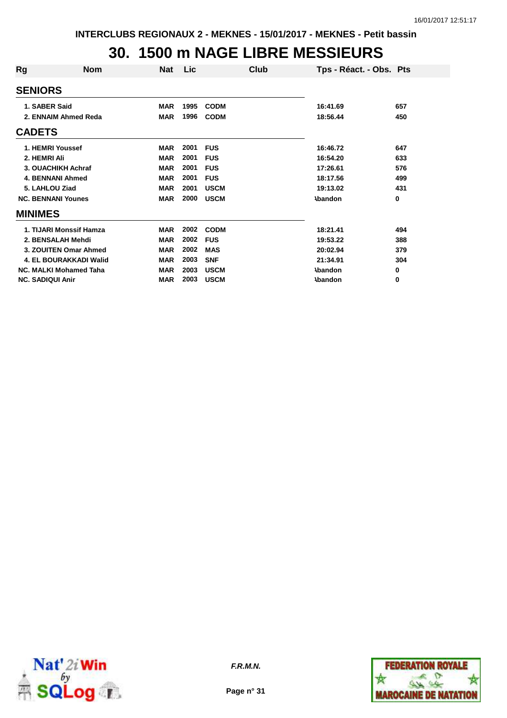#### **30. 1500 m NAGE LIBRE MESSIEURS**

| Rg                        | <b>Nom</b>                    | <b>Nat</b> | Lic  | Club        | Tps - Réact. - Obs. Pts |     |
|---------------------------|-------------------------------|------------|------|-------------|-------------------------|-----|
| <b>SENIORS</b>            |                               |            |      |             |                         |     |
| 1. SABER Said             |                               | <b>MAR</b> | 1995 | <b>CODM</b> | 16:41.69                | 657 |
|                           | 2. ENNAIM Ahmed Reda          | <b>MAR</b> | 1996 | <b>CODM</b> | 18:56.44                | 450 |
| <b>CADETS</b>             |                               |            |      |             |                         |     |
| 1. HEMRI Youssef          |                               | <b>MAR</b> | 2001 | <b>FUS</b>  | 16:46.72                | 647 |
| 2. HEMRI Ali              |                               | <b>MAR</b> | 2001 | <b>FUS</b>  | 16:54.20                | 633 |
|                           | 3. OUACHIKH Achraf            | <b>MAR</b> | 2001 | <b>FUS</b>  | 17:26.61                | 576 |
|                           | <b>4. BENNANI Ahmed</b>       | <b>MAR</b> | 2001 | <b>FUS</b>  | 18:17.56                | 499 |
| 5. LAHLOU Ziad            |                               | <b>MAR</b> | 2001 | <b>USCM</b> | 19:13.02                | 431 |
| <b>NC. BENNANI Younes</b> |                               | <b>MAR</b> | 2000 | <b>USCM</b> | <b>Abandon</b>          | 0   |
| <b>MINIMES</b>            |                               |            |      |             |                         |     |
|                           | 1. TIJARI Monssif Hamza       | <b>MAR</b> | 2002 | <b>CODM</b> | 18:21.41                | 494 |
|                           | 2. BENSALAH Mehdi             | <b>MAR</b> | 2002 | <b>FUS</b>  | 19:53.22                | 388 |
|                           | 3. ZOUITEN Omar Ahmed         | <b>MAR</b> | 2002 | <b>MAS</b>  | 20:02.94                | 379 |
|                           | 4. EL BOURAKKADI Walid        | <b>MAR</b> | 2003 | <b>SNF</b>  | 21:34.91                | 304 |
|                           | <b>NC. MALKI Mohamed Taha</b> | <b>MAR</b> | 2003 | <b>USCM</b> | <b>\bandon</b>          | 0   |
| <b>NC. SADIQUI Anir</b>   |                               | <b>MAR</b> | 2003 | <b>USCM</b> | <b>\bandon</b>          | 0   |



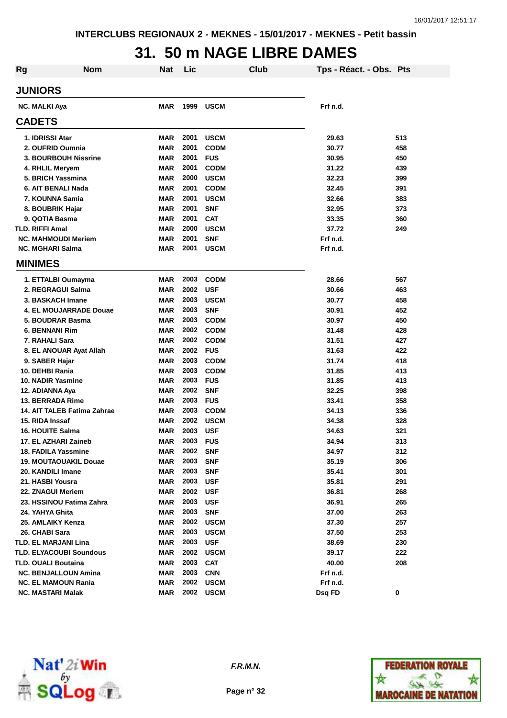#### **31. 50 m NAGE LIBRE DAMES**

| <b>Rg</b> | <b>Nom</b>                     | Nat        | Lic  |             | Club | Tps - Réact. - Obs. Pts |     |
|-----------|--------------------------------|------------|------|-------------|------|-------------------------|-----|
|           | <b>JUNIORS</b>                 |            |      |             |      |                         |     |
|           | <b>NC. MALKI Aya</b>           | MAR        | 1999 | <b>USCM</b> |      | Frf n.d.                |     |
|           | <b>CADETS</b>                  |            |      |             |      |                         |     |
|           | 1. IDRISSI Atar                | <b>MAR</b> | 2001 | <b>USCM</b> |      | 29.63                   | 513 |
|           | 2. OUFRID Oumnia               | <b>MAR</b> | 2001 | <b>CODM</b> |      | 30.77                   | 458 |
|           | <b>3. BOURBOUH Nissrine</b>    | <b>MAR</b> | 2001 | <b>FUS</b>  |      | 30.95                   | 450 |
|           | 4. RHLIL Mervem                | <b>MAR</b> | 2001 | <b>CODM</b> |      | 31.22                   | 439 |
|           | 5. BRICH Yassmina              | <b>MAR</b> | 2000 | <b>USCM</b> |      | 32.23                   | 399 |
|           | 6. AIT BENALI Nada             | <b>MAR</b> | 2001 | <b>CODM</b> |      | 32.45                   | 391 |
|           | 7. KOUNNA Samia                | <b>MAR</b> | 2001 | <b>USCM</b> |      | 32.66                   | 383 |
|           | 8. BOUBRIK Hajar               | <b>MAR</b> | 2001 | <b>SNF</b>  |      | 32.95                   | 373 |
|           | 9. QOTIA Basma                 | <b>MAR</b> | 2001 | <b>CAT</b>  |      | 33.35                   | 360 |
|           | <b>TLD. RIFFI Amal</b>         | <b>MAR</b> | 2000 | <b>USCM</b> |      | 37.72                   | 249 |
|           | <b>NC. MAHMOUDI Meriem</b>     | <b>MAR</b> | 2001 | <b>SNF</b>  |      | Frf n.d.                |     |
|           | <b>NC. MGHARI Salma</b>        | <b>MAR</b> | 2001 | <b>USCM</b> |      | Frf n.d.                |     |
|           | <b>MINIMES</b>                 |            |      |             |      |                         |     |
|           | 1. ETTALBI Oumayma             | <b>MAR</b> | 2003 | <b>CODM</b> |      | 28.66                   | 567 |
|           | 2. REGRAGUI Salma              | <b>MAR</b> | 2002 | <b>USF</b>  |      | 30.66                   | 463 |
|           | 3. BASKACH Imane               | <b>MAR</b> | 2003 | <b>USCM</b> |      | 30.77                   | 458 |
|           | <b>4. EL MOUJARRADE Douae</b>  | <b>MAR</b> | 2003 | <b>SNF</b>  |      | 30.91                   | 452 |
|           | 5. BOUDRAR Basma               | <b>MAR</b> | 2003 | <b>CODM</b> |      | 30.97                   | 450 |
|           | <b>6. BENNANI Rim</b>          | <b>MAR</b> | 2002 | <b>CODM</b> |      | 31.48                   | 428 |
|           | 7. RAHALI Sara                 | <b>MAR</b> | 2002 | <b>CODM</b> |      | 31.51                   | 427 |
|           | 8. EL ANOUAR Ayat Allah        | <b>MAR</b> | 2002 | <b>FUS</b>  |      | 31.63                   | 422 |
|           | 9. SABER Hajar                 | <b>MAR</b> | 2003 | <b>CODM</b> |      | 31.74                   | 418 |
|           | 10. DEHBI Rania                | <b>MAR</b> | 2003 | <b>CODM</b> |      | 31.85                   | 413 |
|           | 10. NADIR Yasmine              | <b>MAR</b> | 2003 | <b>FUS</b>  |      | 31.85                   | 413 |
|           | 12. ADIANNA Aya                | <b>MAR</b> | 2002 | <b>SNF</b>  |      | 32.25                   | 398 |
|           | <b>13. BERRADA Rime</b>        | <b>MAR</b> | 2003 | <b>FUS</b>  |      | 33.41                   | 358 |
|           | 14. AIT TALEB Fatima Zahrae    | <b>MAR</b> | 2003 | <b>CODM</b> |      | 34.13                   | 336 |
|           | 15. RIDA Inssaf                | <b>MAR</b> | 2002 | <b>USCM</b> |      | 34.38                   | 328 |
|           | <b>16. HOUITE Salma</b>        | <b>MAR</b> | 2003 | <b>USF</b>  |      | 34.63                   | 321 |
|           | 17. EL AZHARI Zaineb           | <b>MAR</b> | 2003 | <b>FUS</b>  |      | 34.94                   | 313 |
|           | 18. FADILA Yassmine            | MAR        | 2002 | <b>SNF</b>  |      | 34.97                   | 312 |
|           | <b>19. MOUTAOUAKIL Douae</b>   | <b>MAR</b> | 2003 | <b>SNF</b>  |      | 35.19                   | 306 |
|           | 20. KANDILI Imane              | <b>MAR</b> | 2003 | <b>SNF</b>  |      | 35.41                   | 301 |
|           | 21. HASBI Yousra               | <b>MAR</b> | 2003 | <b>USF</b>  |      | 35.81                   | 291 |
|           | 22. ZNAGUI Meriem              | <b>MAR</b> | 2002 | <b>USF</b>  |      | 36.81                   | 268 |
|           | 23. HSSINOU Fatima Zahra       | <b>MAR</b> | 2003 | <b>USF</b>  |      | 36.91                   | 265 |
|           | 24. YAHYA Ghita                | <b>MAR</b> | 2003 | <b>SNF</b>  |      | 37.00                   | 263 |
|           | 25. AMLAIKY Kenza              | <b>MAR</b> | 2002 | <b>USCM</b> |      | 37.30                   | 257 |
|           | 26. CHABI Sara                 | <b>MAR</b> | 2003 | <b>USCM</b> |      | 37.50                   | 253 |
|           | TLD. EL MARJANI Lina           | <b>MAR</b> | 2003 | <b>USF</b>  |      | 38.69                   | 230 |
|           | <b>TLD. ELYACOUBI Soundous</b> | <b>MAR</b> | 2002 | <b>USCM</b> |      | 39.17                   | 222 |
|           | <b>TLD. OUALI Boutaina</b>     | <b>MAR</b> | 2003 | <b>CAT</b>  |      | 40.00                   | 208 |
|           | <b>NC. BENJALLOUN Amina</b>    | <b>MAR</b> | 2003 | <b>CNN</b>  |      | Frf n.d.                |     |
|           | <b>NC. EL MAMOUN Rania</b>     | <b>MAR</b> | 2002 | <b>USCM</b> |      | Frf n.d.                |     |
|           | <b>NC. MASTARI Malak</b>       | <b>MAR</b> | 2002 | <b>USCM</b> |      | Dsq FD                  | 0   |



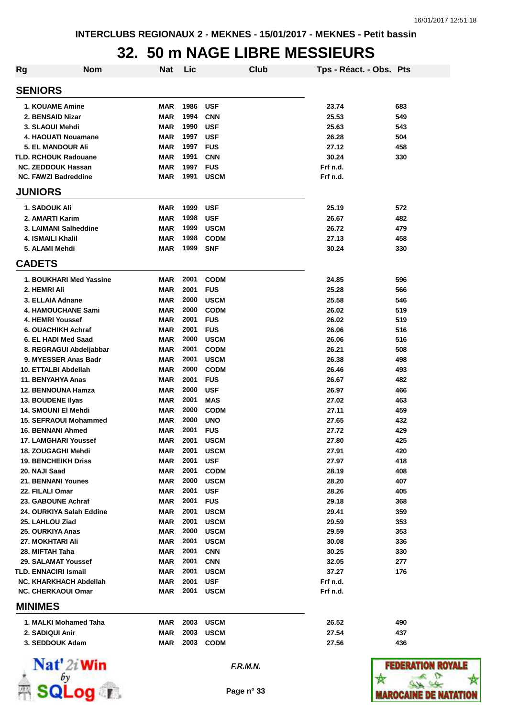### **32. 50 m NAGE LIBRE MESSIEURS**

| <b>Rg</b> | <b>Nom</b>                                  | <b>Nat</b>               | Lic          | Club                       | Tps - Réact. - Obs. Pts |            |
|-----------|---------------------------------------------|--------------------------|--------------|----------------------------|-------------------------|------------|
|           | <b>SENIORS</b>                              |                          |              |                            |                         |            |
|           | <b>1. KOUAME Amine</b>                      | <b>MAR</b>               | 1986         | <b>USF</b>                 | 23.74                   | 683        |
|           | 2. BENSAID Nizar                            | <b>MAR</b>               | 1994         | <b>CNN</b>                 | 25.53                   | 549        |
|           | 3. SLAOUI Mehdi                             | <b>MAR</b>               | 1990         | <b>USF</b>                 | 25.63                   | 543        |
|           | 4. HAOUATI Nouamane                         | <b>MAR</b>               | 1997         | <b>USF</b>                 | 26.28                   | 504        |
|           | <b>5. EL MANDOUR Ali</b>                    | <b>MAR</b>               | 1997         | <b>FUS</b>                 | 27.12                   | 458        |
|           | <b>TLD. RCHOUK Radouane</b>                 | <b>MAR</b>               | 1991         | <b>CNN</b>                 | 30.24                   | 330        |
|           | <b>NC. ZEDDOUK Hassan</b>                   | <b>MAR</b>               | 1997         | <b>FUS</b>                 | Frf n.d.                |            |
|           | <b>NC. FAWZI Badreddine</b>                 | <b>MAR</b>               | 1991         | <b>USCM</b>                | Frf n.d.                |            |
|           | <b>JUNIORS</b>                              |                          |              |                            |                         |            |
|           | 1. SADOUK Ali                               | MAR                      | 1999         | <b>USF</b>                 | 25.19                   | 572        |
|           | 2. AMARTI Karim                             | <b>MAR</b>               | 1998         | <b>USF</b>                 | 26.67                   | 482        |
|           | 3. LAIMANI Salheddine                       | <b>MAR</b>               | 1999         | <b>USCM</b>                | 26.72                   | 479        |
|           | <b>4. ISMAILI Khalil</b>                    | <b>MAR</b>               | 1998         | <b>CODM</b>                | 27.13                   | 458        |
|           | 5. ALAMI Mehdi                              | <b>MAR</b>               | 1999         | <b>SNF</b>                 | 30.24                   | 330        |
|           | <b>CADETS</b>                               |                          |              |                            |                         |            |
|           | 1. BOUKHARI Med Yassine                     | <b>MAR</b>               | 2001         | <b>CODM</b>                | 24.85                   | 596        |
|           | 2. HEMRI Ali                                | <b>MAR</b>               | 2001         | <b>FUS</b>                 | 25.28                   | 566        |
|           | 3. ELLAIA Adnane                            | <b>MAR</b>               | 2000         | <b>USCM</b>                | 25.58                   | 546        |
|           | <b>4. HAMOUCHANE Sami</b>                   | <b>MAR</b>               | 2000         | <b>CODM</b>                | 26.02                   | 519        |
|           | 4. HEMRI Youssef                            | <b>MAR</b>               | 2001         | <b>FUS</b>                 | 26.02                   | 519        |
|           | 6. OUACHIKH Achraf                          | <b>MAR</b>               | 2001         | <b>FUS</b>                 | 26.06                   | 516        |
|           | 6. EL HADI Med Saad                         | <b>MAR</b>               | 2000         | <b>USCM</b>                | 26.06                   | 516        |
|           | 8. REGRAGUI Abdeljabbar                     | <b>MAR</b>               | 2001         | <b>CODM</b>                | 26.21                   | 508        |
|           | 9. MYESSER Anas Badr                        | <b>MAR</b>               | 2001         | <b>USCM</b>                | 26.38                   | 498        |
|           | 10. ETTALBI Abdellah                        | <b>MAR</b>               | 2000         | <b>CODM</b>                | 26.46                   | 493        |
|           | 11. BENYAHYA Anas                           | <b>MAR</b>               | 2001         | <b>FUS</b>                 | 26.67                   | 482        |
|           | <b>12. BENNOUNA Hamza</b>                   | <b>MAR</b>               | 2000         | <b>USF</b>                 | 26.97                   | 466        |
|           | 13. BOUDENE Ilyas                           | <b>MAR</b>               | 2001         | <b>MAS</b>                 | 27.02                   | 463        |
|           | 14. SMOUNI EI Mehdi                         | <b>MAR</b>               | 2000         | <b>CODM</b>                | 27.11                   | 459        |
|           | <b>15. SEFRAOUI Mohammed</b>                | <b>MAR</b>               | 2000<br>2001 | <b>UNO</b>                 | 27.65                   | 432        |
|           | <b>16. BENNANI Ahmed</b>                    | <b>MAR</b>               | 2001         | <b>FUS</b>                 | 27.72                   | 429        |
|           | <b>17. LAMGHARI Youssef</b>                 | <b>MAR</b><br><b>MAR</b> | 2001         | <b>USCM</b><br><b>USCM</b> | 27.80                   | 425        |
|           | 18. ZOUGAGHI Mehdi                          | <b>MAR</b>               | 2001         | <b>USF</b>                 | 27.91<br>27.97          | 420<br>418 |
|           | <b>19. BENCHEIKH Driss</b><br>20. NAJI Saad | <b>MAR</b>               | 2001         | <b>CODM</b>                | 28.19                   | 408        |
|           | 21. BENNANI Younes                          | <b>MAR</b>               | 2000         | <b>USCM</b>                | 28.20                   | 407        |
|           | 22. FILALI Omar                             | <b>MAR</b>               | 2001         | <b>USF</b>                 | 28.26                   | 405        |
|           | 23. GABOUNE Achraf                          | MAR                      | 2001         | <b>FUS</b>                 | 29.18                   | 368        |
|           | 24. OURKIYA Salah Eddine                    | <b>MAR</b>               | 2001         | <b>USCM</b>                | 29.41                   | 359        |
|           | 25. LAHLOU Ziad                             | <b>MAR</b>               | 2001         | <b>USCM</b>                | 29.59                   | 353        |
|           | 25. OURKIYA Anas                            | <b>MAR</b>               | 2000         | <b>USCM</b>                | 29.59                   | 353        |
|           | 27. MOKHTARI Ali                            | MAR                      | 2001         | <b>USCM</b>                | 30.08                   | 336        |
|           | 28. MIFTAH Taha                             | <b>MAR</b>               | 2001         | <b>CNN</b>                 | 30.25                   | 330        |
|           | 29. SALAMAT Youssef                         | <b>MAR</b>               | 2001         | <b>CNN</b>                 | 32.05                   | 277        |
|           | <b>TLD. ENNACIRI Ismail</b>                 | MAR                      | 2001         | <b>USCM</b>                | 37.27                   | 176        |
|           | NC. KHARKHACH Abdellah                      | MAR                      | 2001         | <b>USF</b>                 | Frf n.d.                |            |
|           | <b>NC. CHERKAOUI Omar</b>                   | MAR                      | 2001         | <b>USCM</b>                | Frf n.d.                |            |
|           | <b>MINIMES</b>                              |                          |              |                            |                         |            |
|           | 1. MALKI Mohamed Taha                       | MAR                      | 2003         | <b>USCM</b>                | 26.52                   | 490        |
|           | 2. SADIQUI Anir                             | MAR                      | 2003         | <b>USCM</b>                | 27.54                   | 437        |
|           | 3. SEDDOUK Adam                             | MAR                      | 2003         | <b>CODM</b>                | 27.56                   | 436        |
|           |                                             |                          |              |                            |                         |            |



**F.R.M.N.**